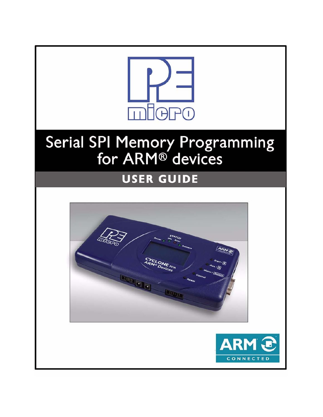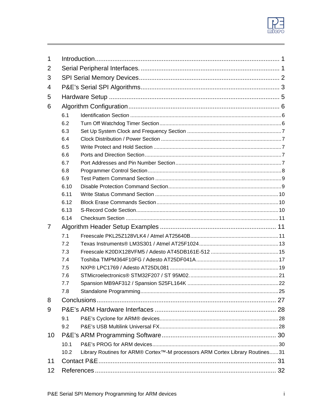

| 1  |      |                                                                                           |  |  |  |  |  |  |
|----|------|-------------------------------------------------------------------------------------------|--|--|--|--|--|--|
| 2  |      |                                                                                           |  |  |  |  |  |  |
| 3  |      |                                                                                           |  |  |  |  |  |  |
| 4  |      |                                                                                           |  |  |  |  |  |  |
| 5  |      |                                                                                           |  |  |  |  |  |  |
| 6  |      |                                                                                           |  |  |  |  |  |  |
|    | 6.1  |                                                                                           |  |  |  |  |  |  |
|    | 6.2  |                                                                                           |  |  |  |  |  |  |
|    | 6.3  |                                                                                           |  |  |  |  |  |  |
|    | 6.4  |                                                                                           |  |  |  |  |  |  |
|    | 6.5  |                                                                                           |  |  |  |  |  |  |
|    | 6.6  |                                                                                           |  |  |  |  |  |  |
|    | 6.7  |                                                                                           |  |  |  |  |  |  |
|    | 6.8  |                                                                                           |  |  |  |  |  |  |
|    | 6.9  |                                                                                           |  |  |  |  |  |  |
|    | 6.10 |                                                                                           |  |  |  |  |  |  |
|    | 6.11 |                                                                                           |  |  |  |  |  |  |
|    | 6.12 |                                                                                           |  |  |  |  |  |  |
|    | 6.13 |                                                                                           |  |  |  |  |  |  |
|    | 6.14 |                                                                                           |  |  |  |  |  |  |
| 7  |      |                                                                                           |  |  |  |  |  |  |
|    | 7.1  |                                                                                           |  |  |  |  |  |  |
|    | 7.2  |                                                                                           |  |  |  |  |  |  |
|    | 7.3  |                                                                                           |  |  |  |  |  |  |
|    | 7.4  |                                                                                           |  |  |  |  |  |  |
|    | 7.5  |                                                                                           |  |  |  |  |  |  |
|    | 7.6  |                                                                                           |  |  |  |  |  |  |
|    | 7.7  |                                                                                           |  |  |  |  |  |  |
|    | 7.8  |                                                                                           |  |  |  |  |  |  |
| 8  |      |                                                                                           |  |  |  |  |  |  |
| 9  |      |                                                                                           |  |  |  |  |  |  |
|    | 9.1  |                                                                                           |  |  |  |  |  |  |
|    | 9.2  |                                                                                           |  |  |  |  |  |  |
| 10 |      |                                                                                           |  |  |  |  |  |  |
|    | 10.1 |                                                                                           |  |  |  |  |  |  |
|    | 10.2 | Library Routines for ARM® Cortex <sup>™</sup> -M processors ARM Cortex Library Routines31 |  |  |  |  |  |  |
| 11 |      |                                                                                           |  |  |  |  |  |  |
| 12 |      |                                                                                           |  |  |  |  |  |  |
|    |      |                                                                                           |  |  |  |  |  |  |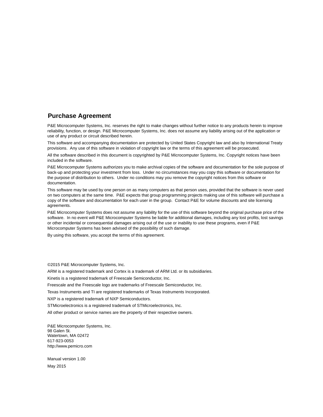## **Purchase Agreement**

P&E Microcomputer Systems, Inc. reserves the right to make changes without further notice to any products herein to improve reliability, function, or design. P&E Microcomputer Systems, Inc. does not assume any liability arising out of the application or use of any product or circuit described herein.

This software and accompanying documentation are protected by United States Copyright law and also by International Treaty provisions. Any use of this software in violation of copyright law or the terms of this agreement will be prosecuted.

All the software described in this document is copyrighted by P&E Microcomputer Systems, Inc. Copyright notices have been included in the software.

P&E Microcomputer Systems authorizes you to make archival copies of the software and documentation for the sole purpose of back-up and protecting your investment from loss. Under no circumstances may you copy this software or documentation for the purpose of distribution to others. Under no conditions may you remove the copyright notices from this software or documentation.

This software may be used by one person on as many computers as that person uses, provided that the software is never used on two computers at the same time. P&E expects that group programming projects making use of this software will purchase a copy of the software and documentation for each user in the group. Contact P&E for volume discounts and site licensing agreements.

P&E Microcomputer Systems does not assume any liability for the use of this software beyond the original purchase price of the software. In no event will P&E Microcomputer Systems be liable for additional damages, including any lost profits, lost savings or other incidental or consequential damages arising out of the use or inability to use these programs, even if P&E Microcomputer Systems has been advised of the possibility of such damage.

By using this software, you accept the terms of this agreement.

©2015 P&E Microcomputer Systems, Inc.

ARM is a registered trademark and Cortex is a trademark of ARM Ltd. or its subsidiaries.

Kinetis is a registered trademark of Freescale Semiconductor, Inc.

Freescale and the Freescale logo are trademarks of Freescale Semiconductor, Inc.

Texas Instruments and TI are registered trademarks of Texas Instruments Incorporated.

NXP is a registered trademark of NXP Semiconductors.

STMicroelectronics is a registered trademark of STMicroelectronics, Inc.

All other product or service names are the property of their respective owners.

P&E Microcomputer Systems, Inc. 98 Galen St. Watertown, MA 02472 617-923-0053 http://www.pemicro.com

Manual version 1.00 May 2015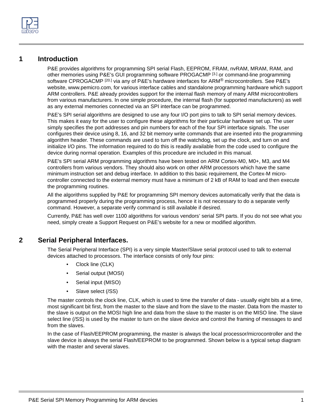

# <span id="page-3-0"></span>**1 Introduction**

P&E provides algorithms for programming SPI serial Flash, EEPROM, FRAM, nvRAM, MRAM, RAM, and other memories using P&E's GUI programming software PROGACMP [\[3.\]](#page-34-1) or command-line programming software CPROGACMP<sup>[\[20.\]](#page-34-2)</sup> via any of P&E's hardware interfaces for ARM<sup>®</sup> microcontrollers. See P&E's website, [www.pemicro.com, for various interface cables and standalone programming hardware which support](http://www.pemicro.com)  ARM controllers. P&E already provides support for the internal flash memory of many ARM microcontrollers [from various manufacturers. In one simple procedure, the internal flash \(for supported manufacturers\) as well](http://www.pemicro.com)  as any external memories connected via an SPI interface can be programmed.

P&E's SPI serial algorithms are designed to use any four I/O port pins to talk to SPI serial memory devices. This makes it easy for the user to configure these algorithms for their particular hardware set up. The user simply specifies the port addresses and pin numbers for each of the four SPI interface signals. The user configures their device using 8, 16, and 32 bit memory write commands that are inserted into the programming algorithm header. These commands are used to turn off the watchdog, set up the clock, and turn on and initialize I/O pins. The information required to do this is readily available from the code used to configure the device during normal operation. Examples of this procedure are included in this manual.

P&E's SPI serial ARM programming algorithms have been tested on ARM Cortex-M0, M0+, M3, and M4 controllers from various vendors. They should also work on other ARM processors which have the same minimum instruction set and debug interface. In addition to this basic requirement, the Cortex-M microcontroller connected to the external memory must have a minimum of 2 kB of RAM to load and then execute the programming routines.

All the algorithms supplied by P&E for programming SPI memory devices automatically verify that the data is programmed properly during the programming process, hence it is not necessary to do a separate verify command. However, a separate verify command is still available if desired.

[Currently, P&E has well over 1100 algorithms for various vendors' serial SPI parts. If you do not see what you](http://www.pemicro.com/support)  need, simply create a Support Request on P&E's website for a new or modified algorithm.

# <span id="page-3-1"></span>**2 Serial Peripheral Interfaces.**

The Serial Peripheral Interface (SPI) is a very simple Master/Slave serial protocol used to talk to external devices attached to processors. The interface consists of only four pins:

- Clock line (CLK)
- Serial output (MOSI)
- Serial input (MISO)
- Slave select (/SS)

The master controls the clock line, CLK, which is used to time the transfer of data - usually eight bits at a time, most significant bit first, from the master to the slave and from the slave to the master. Data from the master to the slave is output on the MOSI high line and data from the slave to the master is on the MISO line. The slave select line (/SS) is used by the master to turn on the slave device and control the framing of messages to and from the slaves.

In the case of Flash/EEPROM programming, the master is always the local processor/microcontroller and the slave device is always the serial Flash/EEPROM to be programmed. Shown below is a typical setup diagram with the master and several slaves.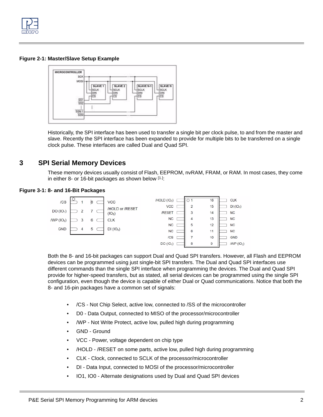

## **Figure 2-1: Master/Slave Setup Example**



Historically, the SPI interface has been used to transfer a single bit per clock pulse, to and from the master and slave. Recently the SPI interface has been expanded to provide for multiple bits to be transferred on a single clock pulse. These interfaces are called Dual and Quad SPI.

# <span id="page-4-0"></span>**3 SPI Serial Memory Devices**

These memory devices usually consist of Flash, EEPROM, nvRAM, FRAM, or RAM. In most cases, they come in either 8- or 16-bit packages as shown below [\[1.\]](#page-34-3):

## **Figure 3-1: 8- and 16-Bit Packages**



Both the 8- and 16-bit packages can support Dual and Quad SPI transfers. However, all Flash and EEPROM devices can be programmed using just single-bit SPI transfers. The Dual and Quad SPI interfaces use different commands than the single SPI interface when programming the devices. The Dual and Quad SPI provide for higher-speed transfers, but as stated, all serial devices can be programmed using the single SPI configuration, even though the device is capable of either Dual or Quad communications. Notice that both the 8- and 16-pin packages have a common set of signals:

- /CS Not Chip Select, active low, connected to /SS of the microcontroller
- D0 Data Output, connected to MISO of the processor/microcontroller
- /WP Not Write Protect, active low, pulled high during programming
- GND Ground
- VCC Power, voltage dependent on chip type
- /HOLD /RESET on some parts, active low, pulled high during programming
- CLK Clock, connected to SCLK of the processor/microcontroller
- DI Data Input, connected to MOSI of the processor/microcontroller
- IO1, IO0 Alternate designations used by Dual and Quad SPI devices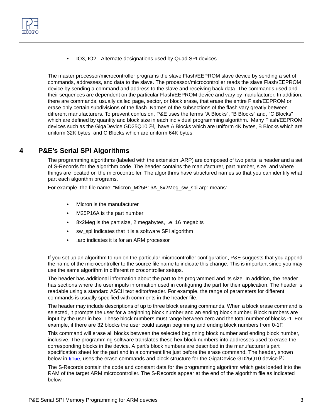

• IO3, IO2 - Alternate designations used by Quad SPI devices

The master processor/microcontroller programs the slave Flash/EEPROM slave device by sending a set of commands, addresses, and data to the slave. The processor/microcontroller reads the slave Flash/EEPROM device by sending a command and address to the slave and receiving back data. The commands used and their sequences are dependent on the particular Flash/EEPROM device and vary by manufacturer. In addition, there are commands, usually called page, sector, or block erase, that erase the entire Flash/EEPROM or erase only certain subdivisions of the flash. Names of the subsections of the flash vary greatly between different manufacturers. To prevent confusion, P&E uses the terms "A Blocks", "B Blocks" and, "C Blocks" which are defined by quantity and block size in each individual programming algorithm. Many Flash/EEPROM devices such as the GigaDevice GD25Q10<sup>[2.]</sup>, have A Blocks which are uniform 4K bytes, B Blocks which are uniform 32K bytes, and C Blocks which are uniform 64K bytes.

# <span id="page-5-0"></span>**4 P&E's Serial SPI Algorithms**

The programming algorithms (labeled with the extension .ARP) are composed of two parts, a header and a set of S-Records for the algorithm code. The header contains the manufacturer, part number, size, and where things are located on the microcontroller. The algorithms have structured names so that you can identify what part each algorithm programs.

For example, the file name: "Micron\_M25P16A\_8x2Meg\_sw\_spi.arp" means:

- Micron is the manufacturer
- M25P16A is the part number
- 8x2Meg is the part size, 2 megabytes, i.e. 16 megabits
- sw\_spi indicates that it is a software SPI algorithm
- .arp indicates it is for an ARM processor

If you set up an algorithm to run on the particular microcontroller configuration, P&E suggests that you append the name of the microcontroller to the source file name to indicate this change. This is important since you may use the same algorithm in different microcontroller setups.

The header has additional information about the part to be programmed and its size. In addition, the header has sections where the user inputs information used in configuring the part for their application. The header is readable using a standard ASCII text editor/reader. For example, the range of parameters for different commands is usually specified with comments in the header file.

The header may include descriptions of up to three block erasing commands. When a block erase command is selected, it prompts the user for a beginning block number and an ending block number. Block numbers are input by the user in hex. These block numbers must range between zero and the total number of blocks -1. For example, if there are 32 blocks the user could assign beginning and ending block numbers from 0-1F.

This command will erase all blocks between the selected beginning block number and ending block number, inclusive. The programming software translates these hex block numbers into addresses used to erase the corresponding blocks in the device. A part's block numbers are described in the manufacturer's part specification sheet for the part and in a comment line just before the erase command. The header, shown below in **blue**, uses the erase commands and block structure for the GigaDevice GD25Q10 device [\[2.\]](#page-34-4).

The S-Records contain the code and constant data for the programming algorithm which gets loaded into the RAM of the target ARM microcontroller. The S-Records appear at the end of the algorithm file as indicated below.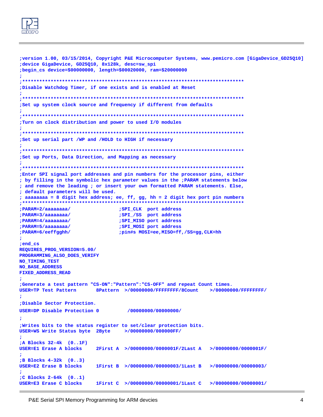

```
;version 1.00, 03/15/2014, Copyright P&E Microcomputer Systems, www.pemicro.com [GigaDevice_GD25Q10]
;device GigaDevice, GD25Q10, 8x128k, desc=sw_spi
;begin_cs device=$00000000, length=$00020000, ram=$20000000
; Disable Watchdog Timer, if one exists and is enabled at Reset
÷
;Set up system clock source and frequency if different from defaults
; Turn on clock distribution and power to used I/O modules
;Set up serial part /WP and /HOLD to HIGH if necessary
÷
;Set up Ports, Data Direction, and Mapping as necessary
÷
Enter SPI signal port addresses and pin numbers for the processor pins, either
; by filling in the symbolic hex parameter values in the ; PARAM statements below
; and remove the leading ; or insert your own formatted PARAM statements. Else,
; default parameters will be used.
; aaaaaaaa = 8 digit hex address; ee, ff, gg, hh = 2 digit hex port pin numbers
;SPI_CLK port address
; PARAM=2/aaaaaaaa/
; PARAM=3/aaaaaaaa/
                           ;SPI_/SS port address
; PARAM=4/aaaaaaaa/
                           ;SPI_MISO port address
; PARAM=5/aaaaaaaa/
                           ;SPI_MOSI port address
; PARAM=6/eeffgghh/
                           ; pin#s MOSI=ee, MISO=ff, /SS=gg, CLK=hh
; end_cs
REQUIRES_PROG_VERSION=5.00/
PROGRAMMING_ALSO_DOES_VERIFY
NO_TIMING_TEST
NO BASE ADDRESS
FIXED_ADDRESS_READ
;Generate a test pattern "CS-ON": "Pattern": "CS-OFF" and repeat Count times.
                   8Pattern >/00000000/FFFFFFFFF/8Count >/00000000/FFFFFFFF/
USER=TP Test Pattern
:Disable Sector Protection.
                             /00000000/00000000/
USER=DP Disable Protection 0
; Writes bits to the status register to set/clear protection bits.
USER=WS Write Status byte 2Byte >/00000000/000000FF/
÷
;A Blocks 32-4k (0..1F)
USER=E1 Erase A blocks
                     2First A >/00000000/0000001F/2Last A >/00000000/0000001F/
\ddot{\phantom{0}}:B Blocks 4-32k (0..3)
                     1First B >/00000000/00000003/1Last B >/00000000/00000003/
USER=E2 Erase B blocks
;C Blocks 2-64k (0..1)USER=E3 Erase C blocks
                     1First C >/00000000/00000001/1Last C >/00000000/00000001/
```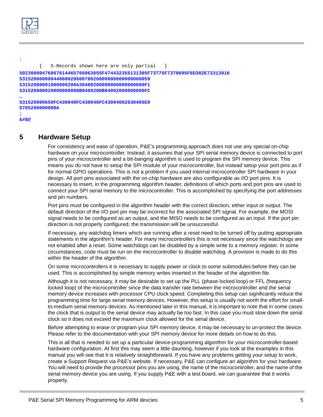```
; 
        { S-Records shown here are only partial }
S0230000476967614465766963655F474432355131305F73775F7370695F6D302E73313916
S315200000004406002060070020800000000000000059
S3152000001000000200A30400200000000000000000F1
S31520000020000000008B040020DB04002000000000FC
…
S31520000650FC430040FC430040FC43004002030405E9
S70520000000DA
;
```
**&#\$@**

# <span id="page-7-0"></span>**5 Hardware Setup**

For consistency and ease of operation, P&E's programming approach does not use any special on-chip hardware on your microcontroller. Instead, it assumes that your SPI serial memory device is connected to port pins of your microcontroller and a bit-banging algorithm is used to program the SPI memory device. This means you do not have to setup the SPI module of your microcontroller, but instead setup your port pins as if for normal GPIO operations. This is not a problem if you used internal microcontroller SPI hardware in your design. All port pins associated with the on-chip hardware are also configurable as I/O port pins. It is necessary to insert, in the programming algorithm header, definitions of which ports and port pins are used to connect your SPI serial memory to the microcontroller. This is accomplished by specifying the port addresses and pin numbers.

Port pins must be configured in the algorithm header with the correct direction, either input or output. The default direction of the I/O port pin may be incorrect for the associated SPI signal. For example, the MOSI signal needs to be configured as an output, and the MISO needs to be configured as an input. If the port pin direction is not properly configured, the transmission will be unsuccessful.

If necessary, any watchdog timers which are running after a reset need to be turned off by putting appropriate statements in the algorithm's header. For many microcontrollers this is not necessary since the watchdogs are not enabled after a reset. Some watchdogs can be disabled by a simple write to a memory register. In some circumstances, code must be run on the microcontroller to disable watchdog. A provision is made to do this within the header of the algorithm.

On some microcontrollers it is necessary to supply power or clock to some submodules before they can be used. This is accomplished by simple memory writes inserted in the header of the algorithm file.

Although it is not necessary, it may be desirable to set up the PLL (phase locked loop) or FFL (frequency locked loop) of the microcontroller since the data transfer rate between the microcontroller and the serial memory device increases with processor CPU clock speed. Completing this setup can significantly reduce the programming time for large serial memory devices. However, this setup is usually not worth the effort for smallto-medium serial memory devices. As mentioned later in this manual, it is important to note that in some cases the clock that is output to the serial device may actually be too fast. In this case you must slow down the serial clock so it does not exceed the maximum clock allowed for the serial device.

Before attempting to erase or program your SPI memory device, it may be necessary to un-protect the device. Please refer to the documentation with your SPI memory device for more details on how to do this.

[This is all that is needed to set up a particular device-programming algorithm for your microcontroller-based](http://www.pemicro.com/support)  hardware configuration. At first this may seem a little daunting, however if you look at the examples in this manual you will see that it is relatively straightforward. If you have any problems getting your setup to work, create a Support Request via P&E's website. If necessary, P&E can configure an algorithm for your hardware. [You will need to provide the processor pins you are using, the name of the microcontroller, and the name of the](http://www.pemicro.com/support)  serial memory device you are using. If you supply P&E with a test board, we can guarantee that it works [properly.](http://www.pemicro.com/support)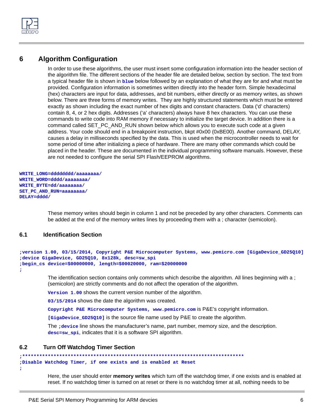

# <span id="page-8-0"></span>**6 Algorithm Configuration**

In order to use these algorithms, the user must insert some configuration information into the header section of the algorithm file. The different sections of the header file are detailed below, section by section. The text from a typical header file is shown in **blue** below followed by an explanation of what they are for and what must be provided. Configuration information is sometimes written directly into the header form. Simple hexadecimal (hex) characters are input for data, addresses, and bit numbers, either directly or as memory writes, as shown below. There are three forms of memory writes. They are highly structured statements which must be entered exactly as shown including the exact number of hex digits and constant characters. Data ('d' characters) contain 8, 4, or 2 hex digits. Addresses ('a' characters) always have 8 hex characters. You can use these commands to write code into RAM memory if necessary to initialize the target device. In addition there is a command called SET\_PC\_AND\_RUN shown below which allows you to execute such code at a given address. Your code should end in a breakpoint instruction, bkpt #0x00 (0xBE00). Another command, DELAY, causes a delay in milliseconds specified by the data. This is used when the microcontroller needs to wait for some period of time after initializing a piece of hardware. There are many other commands which could be placed in the header. These are documented in the individual programming software manuals. However, these are not needed to configure the serial SPI Flash/EEPROM algorithms.

```
WRITE_LONG=dddddddd/aaaaaaaa/
WRITE_WORD=dddd/aaaaaaaa/
WRITE_BYTE=dd/aaaaaaaa/
SET_PC_AND_RUN=aaaaaaaa/
DELAY=dddd/
```
These memory writes should begin in column 1 and not be preceded by any other characters. Comments can be added at the end of the memory writes lines by proceeding them with a ; character (semicolon).

## <span id="page-8-1"></span>**6.1 Identification Section**

```
;version 1.00, 03/15/2014, Copyright P&E Microcomputer Systems, www.pemicro.com [GigaDevice_GD25Q10]
;device GigaDevice, GD25Q10, 8x128k, desc=sw_spi
;begin_cs device=$00000000, length=$00020000, ram=$20000000
```
**;**

The identification section contains only comments which describe the algorithm. All lines beginning with a ; (semicolon) are strictly comments and do not affect the operation of the algorithm.

**Version 1.00** shows the current version number of the algorithm.

**03/15/2014** shows the date the algorithm was created.

**Copyright P&E Microcomputer Systems, www.pemicro.com** is P&E's copyright information.

**[GigaDevice\_GD25Q10]** is the source file name used by P&E to create the algorithm.

The **;device** line shows the manufacturer's name, part number, memory size, and the description. **desc=sw\_spi**, indicates that it is a software SPI algorithm.

## <span id="page-8-2"></span>**6.2 Turn Off Watchdog Timer Section**

```
;******************************************************************************
;Disable Watchdog Timer, if one exists and is enabled at Reset
```
**;**

Here, the user should enter **memory writes** which turn off the watchdog timer, if one exists and is enabled at reset. If no watchdog timer is turned on at reset or there is no watchdog timer at all, nothing needs to be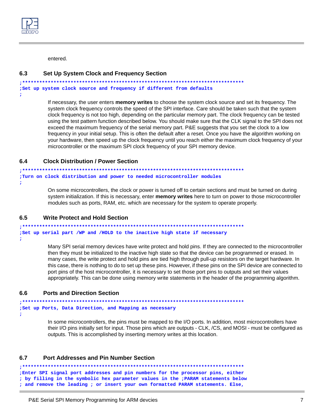

entered.

#### <span id="page-9-0"></span>**Set Up System Clock and Frequency Section**  $6.3$

```
;Set up system clock source and frequency if different from defaults
```
### ÷

If necessary, the user enters **memory writes** to choose the system clock source and set its frequency. The system clock frequency controls the speed of the SPI interface. Care should be taken such that the system clock frequency is not too high, depending on the particular memory part. The clock frequency can be tested using the test pattern function described below. You should make sure that the CLK signal to the SPI does not exceed the maximum frequency of the serial memory part. P&E suggests that you set the clock to a low frequency in your initial setup. This is often the default after a reset. Once you have the algorithm working on your hardware, then speed up the clock frequency until you reach either the maximum clock frequency of your microcontroller or the maximum SPI clock frequency of your SPI memory device.

#### <span id="page-9-1"></span> $6.4$ **Clock Distribution / Power Section**

```
; Turn on clock distribution and power to needed microcontroller modules
\ddot{ }
```
On some microcontrollers, the clock or power is turned off to certain sections and must be turned on during system initialization. If this is necessary, enter memory writes here to turn on power to those microcontroller modules such as ports, RAM, etc. which are necessary for the system to operate properly.

#### <span id="page-9-2"></span> $6.5$ **Write Protect and Hold Section**

```
;Set up serial part /WP and /HOLD to the inactive high state if necessary
\ddot{ }
```
Many SPI serial memory devices have write protect and hold pins. If they are connected to the microcontroller then they must be initialized to the inactive high state so that the device can be programmed or erased. In many cases, the write protect and hold pins are tied high through pull-up resistors on the target hardware. In this case, there is nothing to do to set up these pins. However, if these pins on the SPI device are connected to port pins of the host microcontroller, it is necessary to set those port pins to outputs and set their values appropriately. This can be done using memory write statements in the header of the programming algorithm.

#### <span id="page-9-3"></span>**Ports and Direction Section** 6.6

```
; Set up Ports, Data Direction, and Mapping as necessary
\ddot{ }
```
In some microcontrollers, the pins must be mapped to the I/O ports. In addition, most microcontrollers have their I/O pins initially set for input. Those pins which are outputs - CLK, /CS, and MOSI - must be configured as outputs. This is accomplished by inserting memory writes at this location.

#### <span id="page-9-4"></span> $6.7$ **Port Addresses and Pin Number Section**

```
;Enter SPI signal port addresses and pin numbers for the processor pins, either
; by filling in the symbolic hex parameter values in the ; PARAM statements below
; and remove the leading ; or insert your own formatted PARAM statements. Else,
```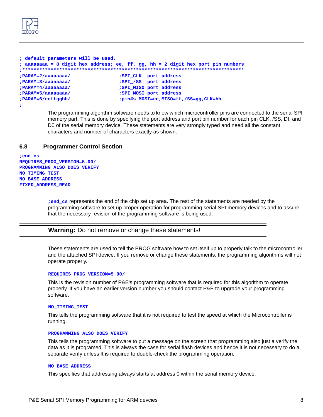

```
; default parameters will be used. 
; aaaaaaaa = 8 digit hex address; ee, ff, gg, hh = 2 digit hex port pin numbers
;******************************************************************************
;PARAM=2/aaaaaaaa/ ;SPI_CLK port address 
;PARAM=3/aaaaaaaa/ ;SPI_/SS port address 
;PARAM=4/aaaaaaaa/ ;SPI_MISO port address 
;PARAM=5/aaaaaaaa/ ;SPI_MOSI port address
;PARAM=6/eeffgghh/ ;pin#s MOSI=ee,MISO=ff,/SS=gg,CLK=hh 
;
```
The programming algorithm software needs to know which microcontroller pins are connected to the serial SPI memory part. This is done by specifying the port address and port pin number for each pin CLK, /SS, DI, and D0 of the serial memory device. These statements are very strongly typed and need all the constant characters and number of characters exactly as shown.

## <span id="page-10-0"></span>**6.8 Programmer Control Section**

**;end\_cs REQUIRES\_PROG\_VERSION=5.00/ PROGRAMMING\_ALSO\_DOES\_VERIFY NO\_TIMING\_TEST NO\_BASE\_ADDRESS FIXED\_ADDRESS\_READ**

> **;end\_cs** represents the end of the chip set up area. The rest of the statements are needed by the programming software to set up proper operation for programming serial SPI memory devices and to assure that the necessary revision of the programming software is being used.

### **Warning:** Do not remove or change these statements!

These statements are used to tell the PROG software how to set itself up to properly talk to the microcontroller and the attached SPI device. If you remove or change these statements, the programming algorithms will not operate properly.

### **REQUIRES\_PROG\_VERSION=5.00/**

This is the revision number of P&E's programming software that is required for this algorithm to operate properly. If you have an earlier version number you should contact P&E to upgrade your programming software.

### **NO\_TIMING\_TEST**

This tells the programming software that it is not required to test the speed at which the Microcontroller is running.

### **PROGRAMMING\_ALSO\_DOES\_VERIFY**

This tells the programming software to put a message on the screen that programming also just a verify the data as it is programed. This is always the case for serial flash devices and hence it is not necessary to do a separate verify unless It is required to double-check the programming operation.

### **NO\_BASE\_ADDRESS**

This specifies that addressing always starts at address 0 within the serial memory device.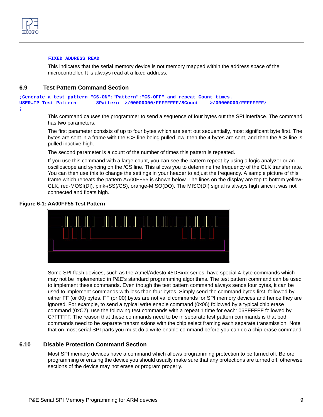

### **FIXED\_ADDRESS\_READ**

This indicates that the serial memory device is not memory mapped within the address space of the microcontroller. It is always read at a fixed address.

## <span id="page-11-0"></span>**6.9 Test Pattern Command Section**

```
;Generate a test pattern "CS-ON":"Pattern":"CS-OFF" and repeat Count times.
USER=TP Test Pattern 8Pattern >/00000000/FFFFFFFF/8Count >/00000000/FFFFFFFF/
;
```
This command causes the programmer to send a sequence of four bytes out the SPI interface. The command has two parameters.

The first parameter consists of up to four bytes which are sent out sequentially, most significant byte first. The bytes are sent in a frame with the /CS line being pulled low, then the 4 bytes are sent, and then the /CS line is pulled inactive high.

The second parameter is a count of the number of times this pattern is repeated.

If you use this command with a large count, you can see the pattern repeat by using a logic analyzer or an oscilloscope and syncing on the /CS line. This allows you to determine the frequency of the CLK transfer rate. You can then use this to change the settings in your header to adjust the frequency. A sample picture of this frame which repeats the pattern AA00FF55 is shown below. The lines on the display are top to bottom yellow-CLK, red-MOSI(DI), pink-/SS(/CS), orange-MISO(DO). The MISO(DI) signal is always high since it was not connected and floats high.

### **Figure 6-1: AA00FF55 Test Pattern**



Some SPI flash devices, such as the Atmel/Adesto 45DBxxx series, have special 4-byte commands which may not be implemented in P&E's standard programming algorithms. The test pattern command can be used to implement these commands. Even though the test pattern command always sends four bytes, it can be used to implement commands with less than four bytes. Simply send the command bytes first, followed by either FF (or 00) bytes. FF (or 00) bytes are not valid commands for SPI memory devices and hence they are ignored. For example, to send a typical write enable command (0x06) followed by a typical chip erase command (0xC7), use the following test commands with a repeat 1 time for each: 06FFFFFF followed by C7FFFFF. The reason that these commands need to be in separate test pattern commands is that both commands need to be separate transmissions with the chip select framing each separate transmission. Note that on most serial SPI parts you must do a write enable command before you can do a chip erase command.

## <span id="page-11-1"></span>**6.10 Disable Protection Command Section**

Most SPI memory devices have a command which allows programming protection to be turned off. Before programming or erasing the device you should usually make sure that any protections are turned off, otherwise sections of the device may not erase or program properly.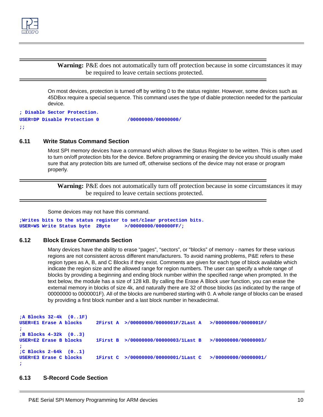

**Warning:** P&E does not automatically turn off protection because in some circumstances it may be required to leave certain sections protected.

On most devices, protection is turned off by writing 0 to the status register. However, some devices such as 45DBxx require a special sequence. This command uses the type of diable protection needed for the particular device.

```
; Disable Sector Protection.
USER=DP Disable Protection 0 /00000000/00000000/
```
**;;**

## <span id="page-12-0"></span>**6.11 Write Status Command Section**

Most SPI memory devices have a command which allows the Status Register to be written. This is often used to turn on/off protection bits for the device. Before programming or erasing the device you should usually make sure that any protection bits are turned off, otherwise sections of the device may not erase or program properly.

**Warning:** P&E does not automatically turn off protection because in some circumstances it may be required to leave certain sections protected.

Some devices may not have this command.

```
;Writes bits to the status register to set/clear protection bits.
USER=WS Write Status byte 2Byte >/00000000/000000FF/;
```
## <span id="page-12-1"></span>**6.12 Block Erase Commands Section**

Many devices have the ability to erase "pages", "sectors", or "blocks" of memory - names for these various regions are not consistent across different manufacturers. To avoid naming problems, P&E refers to these region types as A, B, and C Blocks if they exist. Comments are given for each type of block available which indicate the region size and the allowed range for region numbers. The user can specify a whole range of blocks by providing a beginning and ending block number within the specified range when prompted. In the text below, the module has a size of 128 kB. By calling the Erase A Block user function, you can erase the external memory in blocks of size 4k, and naturally there are 32 of those blocks (as indicated by the range of 00000000 to 0000001F). All of the blocks are numbered starting with 0. A whole range of blocks can be erased by providing a first block number and a last block number in hexadecimal.

```
;A Blocks 32-4k (0..1F)
USER=E1 Erase A blocks 2First A >/00000000/0000001F/2Last A >/00000000/0000001F/
;
;B Blocks 4-32k (0..3)
USER=E2 Erase B blocks 1First B >/00000000/00000003/1Last B >/00000000/00000003/
;
;C Blocks 2-64k (0..1)
USER=E3 Erase C blocks 1First C >/00000000/00000001/1Last C >/00000000/00000001/
;
```
### <span id="page-12-2"></span>**6.13 S-Record Code Section**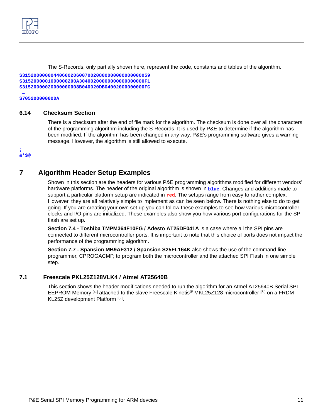

The S-Records, only partially shown here, represent the code, constants and tables of the algorithm.

**S315200000004406002060070020800000000000000059 S3152000001000000200A30400200000000000000000F1 S31520000020000000008B040020DB04002000000000FC**

### **… S70520000000DA**

## <span id="page-13-0"></span>**6.14 Checksum Section**

There is a checksum after the end of file mark for the algorithm. The checksum is done over all the characters of the programming algorithm including the S-Records. It is used by P&E to determine if the algorithm has been modified. If the algorithm has been changed in any way, P&E's programming software gives a warning message. However, the algorithm is still allowed to execute.

### **; &\*\$@**

# <span id="page-13-1"></span>**7 Algorithm Header Setup Examples**

Shown in this section are the headers for various P&E programming algorithms modified for different vendors' hardware platforms. The header of the original algorithm is shown in **blue**. Changes and additions made to support a particular platform setup are indicated in **red**. The setups range from easy to rather complex. However, they are all relatively simple to implement as can be seen below. There is nothing else to do to get going. If you are creating your own set up you can follow these examples to see how various microcontroller clocks and I/O pins are initialized. These examples also show you how various port configurations for the SPI flash are set up.

**[Section 7.4 - Toshiba TMPM364F10FG / Adesto AT25DF041A](#page-19-0)** is a case where all the SPI pins are connected to different microcontroller ports. It is important to note that this choice of ports does not impact the performance of the programming algorithm.

**[Section 7.7 - Spansion MB9AF312 / Spansion S25FL164K](#page-24-0)** also shows the use of the command-line programmer, CPROGACMP, to program both the microcontroller and the attached SPI Flash in one simple step.

## <span id="page-13-2"></span>**7.1 Freescale PKL25Z128VLK4 / Atmel AT25640B**

This section shows the header modifications needed to run the algorithm for an Atmel AT25640B Serial SPI EEPROM Memory [\[4.\]](#page-34-5) attached to the slave Freescale Kinetis® MKL25Z128 microcontroller [\[5.\]](#page-34-6) on a FRDM-KL25Z development Platform [\[6.\]](#page-34-7).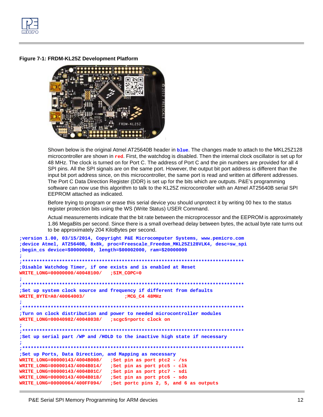

Figure 7-1: FRDM-KL25Z Development Platform



Shown below is the original Atmel AT25640B header in blue. The changes made to attach to the MKL25Z128 microcontroller are shown in red. First, the watchdog is disabled. Then the internal clock oscillator is set up for 48 MHz. The clock is turned on for Port C. The address of Port C and the pin numbers are provided for all 4 SPI pins. All the SPI signals are on the same port. However, the output bit port address is different than the input bit port address since, on this microcontroller, the same port is read and written at different addresses. The Port C Data Direction Register (DDR) is set up for the bits which are outputs. P&E's programming software can now use this algorithm to talk to the KL25Z microcontroller with an Atmel AT25640B serial SPI EEPROM attached as indicated.

Before trying to program or erase this serial device you should unprotect it by writing 00 hex to the status register protection bits using the WS (Write Status) USER Command.

Actual measurements indicate that the bit rate between the microprocessor and the EEPROM is approximately 1.86 MegaBits per second. Since there is a small overhead delay between bytes, the actual byte rate turns out to be approximately 204 KiloBytes per second.

```
;version 1.00, 03/15/2014, Copyright P&E Microcomputer Systems, www.pemicro.com
;device Atmel, AT25640B, 8x8k, proc=Freescale Freedom MKL25Z128VLK4, desc=sw spi
;begin_cs device=$00000000, length=$00002000, ram=$20000000
         \cdot *
; Disable Watchdog Timer, if one exists and is enabled at Reset
WRITE_LONG=00000000/40048100/ ;SIM_COPC=0
÷
;Set up system clock source and frequency if different from defaults
                               ;MCG C4 48MHz
WRITE BYTE=A0/40064003/
Ĵ.
; * * * * * * * * * * * *; Turn on clock distribution and power to needed microcontroller modules
WRITE_LONG=00040982/40048038/
                           ; scgc5=portc clock on
÷
                              *************************
;Set up serial part /WP and /HOLD to the inactive high state if necessary
; Set up Ports, Data Direction, and Mapping as necessary
WRITE LONG=00000143/4004B008/ ;Set pin as port ptc2 - /ss
WRITE_LONG=00000143/4004B014/ ;Set pin as port ptc5 - clk
WRITE LONG=00000143/4004B01C/ ;Set pin as port ptc7 - sdi
WRITE LONG=00000143/4004B018/
                          ;Set pin as port ptc6 - sdo
WRITE LONG=00000064/400FF094/
                           ;Set portc pins 2, 5, and 6 as outputs
```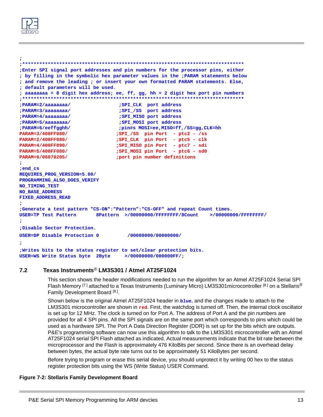

```
Enter SPI signal port addresses and pin numbers for the processor pins, either
; by filling in the symbolic hex parameter values in the ; PARAM statements below
; and remove the leading ; or insert your own formatted PARAM statements. Else,
; default parameters will be used.
; aaaaaaaa = 8 digit hex address; ee, ff, gg, hh = 2 digit hex port pin numbers
; SPI_CLK port address
; PARAM=2/aaaaaaaa/
                              ;SPI_/SS port address
; PARAM=3/aaaaaaaa/
                             ;SPI_MISO port address
; PARAM=4/aaaaaaaa/
                             ;SPI_MOSI port address
; PARAM=5/aaaaaaaa/
; PARAM=6/eeffgghh/
                             ; pin#s MOSI=ee, MISO=ff, /SS=gg, CLK=hh
PARAM=3/400FF080/
                             ;SPI_/SS pin Port - ptc2 - /ss
PARAM=2/400FF080/
                             ;SPI_CLK pin Port - ptc5 - clk
PARAM=4/400FF090/
                             ;SPI_MISO pin Port - ptc7 - sdi
PARAM=5/400FF080/
                             ; SPI_MOSI pin Port - ptc6 - sd0
PARAM=6/06070205/
                             port pin number definitions;
;end_cs
REQUIRES_PROG_VERSION=5.00/
PROGRAMMING_ALSO_DOES_VERIFY
NO_TIMING_TEST
NO_BASE_ADDRESS
FIXED ADDRESS READ
;Generate a test pattern "CS-ON": "Pattern": "CS-OFF" and repeat Count times.
USER=TP Test Pattern 8Pattern >/00000000/FFFFFFFF/8Count >/00000000/FFFFFFFF/
;Disable Sector Protection.
USER=DP Disable Protection 0
                                /00000000/00000000/
÷
; Writes bits to the status register to set/clear protection bits.
USER=WS Write Status byte 2Byte >/00000000/000000FF/;
```
#### <span id="page-15-0"></span> $7.2$ Texas Instruments® LM3S301 / Atmel AT25F1024

This section shows the header modifications needed to run the algorithm for an Atmel AT25F1024 Serial SPI Flash Memory [7.] attached to a Texas Instruments (Luminary Micro) LM3S301microcontroller [8.] on a Stellaris® Family Development Board<sup>[9.]</sup>.

Shown below is the original Atmel AT25F1024 header in blue, and the changes made to attach to the LM3S301 microcontroller are shown in red. First, the watchdog is turned off. Then, the internal clock oscillator is set up for 12 MHz. The clock is turned on for Port A. The address of Port A and the pin numbers are provided for all 4 SPI pins. All the SPI signals are on the same port which corresponds to pins which could be used as a hardware SPI. The Port A Data Direction Register (DDR) is set up for the bits which are outputs. P&E's programming software can now use this algorithm to talk to the LM3S301 microcontroller with an Atmel AT25F1024 serial SPI Flash attached as indicated. Actual measurements indicate that the bit rate between the microprocessor and the Flash is approximately 476 KiloBits per second. Since there is an overhead delay between bytes, the actual byte rate turns out to be approximately 51 KiloBytes per second.

Before trying to program or erase this serial device, you should unprotect it by writing 00 hex to the status register protection bits using the WS (Write Status) USER Command.

### **Figure 7-2: Stellaris Family Development Board**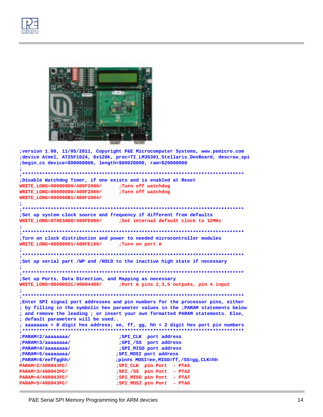



```
; version 1.00, 11/05/2011, Copyright P&E Microcomputer Systems, www.pemicro.com
;device Atmel, AT25F1024, 8x128k, proc=TI_LM3S301_Stellaris_DevBoard, desc=sw_spi
;begin_cs device=$00000000, length=$00020000, ram=$20000000
;Disable Watchdog Timer, if one exists and is enabled at Reset
WRITE LONG=00000000/400F2000/
                           ;Turn off watchdog
WRITE_LONG=00000000/400F2000/
                           ;Turn off watchdog
WRITE LONG=000000B1/400F2004/
÷
;Set up system clock source and frequency if different from defaults
WRITE LONG=078E3AD0/400FE060/
                          ;Set internal default clock to 12MHz
; Turn on clock distribution and power to needed microcontroller modules
WRITE_LONG=00000001/400FE108/
                          ;Turn on port A
;Set up serial part /WP and /HOLD to the inactive high state if necessary
÷
; Set up Ports, Data Direction, and Mapping as necessary
WRITE_LONG=0000002C/40004400/
                          ;Port A pins 2,3,5 outputs, pin 4 input
\ddot{ }Enter SPI signal port addresses and pin numbers for the processor pins, either
; by filling in the symbolic hex parameter values in the ; PARAM statements below
; and remove the leading ; or insert your own formatted PARAM statements. Else,
; default parameters will be used..
; aaaaaaaa = 8 digit hex address; ee, ff, gg, hh = 2 digit hex port pin numbers
,********************************
; PARAM=2/aaaaaaaa/
                           ; SPI_CLK port address
                           ;SPI_/SS port address
:PARAM=3/aaaaaaaa/
; PARAM=4/aaaaaaaa/
                           ; SPI_MISO port address
; PARAM=5/aaaaaaaa/
                          ;SPI_MOSI port address
; PARAM=6/eeffgghh/
                          ; pin#s MOSI=ee, MISO=ff, /SS=gg, CLK=hh
PARAM=2/400043FC/
                          ;SPI_CLK pin Port - PTA5
PARAM=3/400043FC/
                          ;SPI /SS pin Port - PTA2
PARAM=4/400043FC/
                          ;SPI_MISO pin Port - PTA7
PARAM=5/400043FC/
                           ;SPI_MOSI pin Port - PTA6
```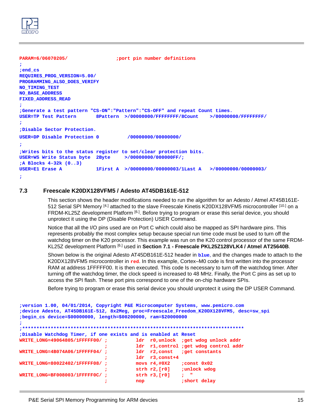

```
PARAM=6/06070205/ ;port pin number definitions 
;
;end_cs
REQUIRES_PROG_VERSION=5.00/
PROGRAMMING_ALSO_DOES_VERIFY
NO_TIMING_TEST
NO_BASE_ADDRESS
FIXED_ADDRESS_READ
;
;Generate a test pattern "CS-ON":"Pattern":"CS-OFF" and repeat Count times.
USER=TP Test Pattern 8Pattern >/00000000/FFFFFFFF/8Count >/00000000/FFFFFFFF/
;
;Disable Sector Protection.
USER=DP Disable Protection 0 /00000000/00000000/
;
;Writes bits to the status register to set/clear protection bits.
USER=WS Write Status byte 2Byte >/00000000/000000FF/;
;A Blocks 4-32k (0..3)
USER=E1 Erase A 1First A >/00000000/00000003/1Last A >/00000000/00000003/
;
```
## <span id="page-17-0"></span>**7.3 Freescale K20DX128VFM5 / Adesto AT45DB161E-512**

This section shows the header modifications needed to run the algorithm for an Adesto / Atmel AT45B161E-512 Serial SPI Memory [\[4.\]](#page-34-5) attached to the slave Freescale Kinetis K20DX128VFM5 microcontroller [\[10.\]](#page-34-11) on a FRDM-KL25Z development Platform [\[6.\].](#page-34-7) Before trying to program or erase this serial device, you should unprotect it using the DP (Disable Protection) USER Command.

Notice that all the I/O pins used are on Port C which could also be mapped as SPI hardware pins. This represents probably the most complex setup because special run time code must be used to turn off the watchdog timer on the K20 processor. This example was run on the K20 control processor of the same FRDM-KL25Z development Platform [\[6.\]](#page-34-7) used in **[Section 7.1 - Freescale PKL25Z128VLK4 / Atmel AT25640B](#page-13-2)**.

Shown below is the original Adesto AT45DB161E-512 header in **blue**, and the changes made to attach to the K20DX128VFM5 microcontroller in **red**. In this example, Cortex–M0 code is first written into the processor RAM at address 1FFFFF00. It is then executed. This code Is necessary to turn off the watchdog timer. After turning off the watchdog timer, the clock speed is increased to 48 MHz. Finally, the Port C pins as set up to access the SPI flash. These port pins correspond to one of the on-chip hardware SPIs.

Before trying to program or erase this serial device you should unprotect it using the DP USER Command.

```
;version 1.00, 04/01/2014, Copyright P&E Microcomputer Systems, www.pemicro.com 
;device Adesto, AT45DB161E-512, 8x2Meg, proc=Freescale_Freedom_K20DX128VFM5, desc=sw_spi
;begin_cs device=$00000000, length=$00200000, ram=$20000000
;
;******************************************************************************
;Disable Watchdog Timer, if one exists and is enabled at Reset
WRITE_LONG=49064805/1FFFFF00/ ; ldr r0,unlock ;get wdog unlock addr
                            ; ldr r1,control ;get wdog control addr
WRITE_LONG=4B074A06/1FFFFF04/ ; ldr r2,const ;get constants 
                                     ; ldr r3,const+4
WRITE_LONG=80022402/1FFFFF08/ ; movs r4,#0X2 ;const 0x02
                                      ; strh r2,[r0] ;unlock wdog
WRITE_LONG=BF008003/1FFFFF0C/ ; strh r3,[r0] ; " 
                            ; nop ;short delay
```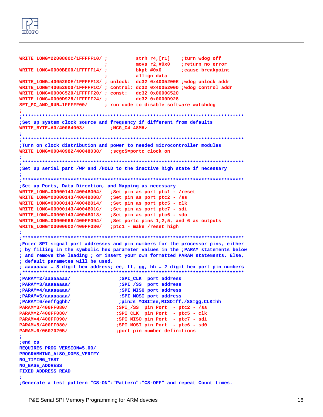

```
WRITE_LONG=2200800C/1FFFFF10/ ; strh r4,[r1] ;turn wdog off 
                                      ; movs r2,#0x0 ;return no error
WRITE_LONG=0000BE00/1FFFFF14/ ; bkpt #0x0 ;cause breakpoint
                                      ; allign data 
WRITE_LONG=4005200E/1FFFFF18/ ; unlock: dc32 0x4005200E ;wdog unlock addr
WRITE_LONG=40052000/1FFFFF1C/ ; control: dc32 0x40052000 ;wdog control addr
WRITE_LONG=0000C520/1FFFFF20/ ; const: dc32 0x0000C520
WRITE_LONG=0000D928/1FFFFF24/ ; dc32 0x0000D928
SET_PC_AND_RUN=1FFFFF00/ ; run code to disable software watchdog
;
;******************************************************************************
;Set up system clock source and frequency if different from defaults
WRITE_BYTE=A0/40064003/ ;MCG_C4 48MHz
;
;******************************************************************************
;Turn on clock distribution and power to needed microcontroller modules
WRITE_LONG=00040982/40048038/ ;scgc5=portc clock on
;
;******************************************************************************
;Set up serial part /WP and /HOLD to the inactive high state if necessary
;
;******************************************************************************
;Set up Ports, Data Direction, and Mapping as necessary
WRITE_LONG=00000143/4004B004/ ;Set pin as port ptc1 - /reset
WRITE_LONG=00000143/4004B008/ ;Set pin as port ptc2 - /ss
WRITE_LONG=00000143/4004B014/ ;Set pin as port ptc5 - clk
WRITE_LONG=00000143/4004B01C/ ;Set pin as port ptc7 - sdi
WRITE_LONG=00000143/4004B018/ ;Set pin as port ptc6 - sdo
WRITE_LONG=00000066/400FF094/ ;Set portc pins 1,2,5, and 6 as outputs
WRITE_LONG=00000002/400FF080/ ;ptc1 - make /reset high
;
;******************************************************************************
;Enter SPI signal port addresses and pin numbers for the processor pins, either 
; by filling in the symbolic hex parameter values in the ;PARAM statements below 
; and remove the leading ; or insert your own formatted PARAM statements. Else, 
; default parametes will be used. 
; aaaaaaaa = 8 digit hex address; ee, ff, gg, hh = 2 digit hex port pin numbers 
;******************************************************************************
;PARAM=2/aaaaaaaa/ ;SPI_CLK port address 
;PARAM=3/aaaaaaaa/ ;SPI_/SS port address 
;PARAM=4/aaaaaaaa/ ;SPI_MISO port address 
;PARAM=5/aaaaaaaa/ ;SPI_MOSI port address
;PARAM=6/eeffgghh/ ;pin#s MOSI=ee,MISO=ff,/SS=gg,CLK=hh 
PARAM=3/400FF080/ ;SPI_/SS pin Port - ptc2 - /ss
PARAM=2/400FF080/ ;SPI_CLK pin Port - ptc5 - clk
PARAM=4/400FF090/ ;SPI_MISO pin Port - ptc7 - sdi
PARAM=5/400FF080/ ;SPI_MOSI pin Port - ptc6 - sd0
PARAM=6/06070205/ ;port pin number definitions 
;
;end_cs
REQUIRES_PROG_VERSION=5.00/
PROGRAMMING_ALSO_DOES_VERIFY
NO_TIMING_TEST
NO_BASE_ADDRESS
FIXED_ADDRESS_READ
;
;Generate a test pattern "CS-ON":"Pattern":"CS-OFF" and repeat Count times.
```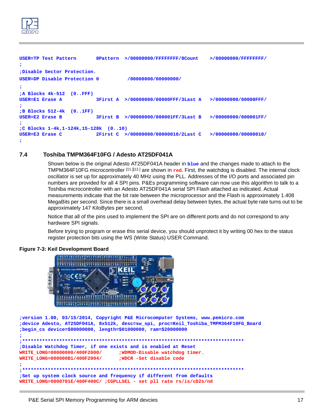

```
USER=TP Test Pattern 8Pattern >/00000000/FFFFFFFF/8Count >/00000000/FFFFFFFF/
;
;Disable Sector Protection.
USER=DP Disable Protection 0 /00000000/00000000/
;
;A Blocks 4k-512 (0..FFF)
USER=E1 Erase A 3First A >/00000000/00000FFF/3Last A >/00000000/00000FFF/
; 
;B Blocks 512-4k (0..1FF)
USER=E2 Erase B 3First B >/00000000/000001FF/3Last B >/00000000/000001FF/
;
;C Blocks 1-4k,1-124k,15-128k (0..10)
USER=E3 Erase C 2First C >/00000000/00000010/2Last C >/00000000/00000010/
;
```
## <span id="page-19-0"></span>**7.4 Toshiba TMPM364F10FG / Adesto AT25DF041A**

Shown below is the original Adesto AT25DF041A header in **blue** and the changes made to attach to the TMPM364F10FG microcontroller [\[11.\]](#page-34-12)[\[12.\]](#page-34-13) are shown in **red**. First, the watchdog is disabled. The internal clock oscillator is set up for approximately 40 MHz using the PLL. Addresses of the I/O ports and associated pin numbers are provided for all 4 SPI pins. P&Es programming software can now use this algorithm to talk to a Toshiba microcontroller with an Adesto AT25DF041A serial SPI Flash attached as indicated. Actual measurements indicate that the bit rate between the microprocessor and the Flash is approximately 1.408 MegaBits per second. Since there is a small overhead delay between bytes, the actual byte rate turns out to be approximately 147 KiloBytes per second.

Notice that all of the pins used to implement the SPI are on different ports and do not correspond to any hardware SPI signals.

Before trying to program or erase this serial device, you should unprotect it by writing 00 hex to the status register protection bits using the WS (Write Status) USER Command.

### **Figure 7-3: Keil Development Board**



**;version 1.00, 03/15/2014, Copyright P&E Microcomputer Systems, www.pemicro.com ;device Adesto, AT25DF041A, 8x512k, desc=sw\_spi, proc=Keil\_Toshiba\_TMPM364F10FG\_Board ;begin\_cs device=\$00000000, length=\$01000000, ram=\$20000000 ; ;\*\*\*\*\*\*\*\*\*\*\*\*\*\*\*\*\*\*\*\*\*\*\*\*\*\*\*\*\*\*\*\*\*\*\*\*\*\*\*\*\*\*\*\*\*\*\*\*\*\*\*\*\*\*\*\*\*\*\*\*\*\*\*\*\*\*\*\*\*\*\*\*\*\*\*\*\*\* ;Disable Watchdog Timer, if one exists and is enabled at Reset WRITE\_LONG=00000000/400F2000/ ;WDMOD-Disable watchdog timer. WRITE\_LONG=000000B1/400F2004/ ;WDCR -Set disable code ;**

```
;******************************************************************************
;Set up system clock source and frequency if different from defaults
WRITE_LONG=0000701E/400F400C/ ;CGPLLSEL - set pll rate rs/is/cD2s/nd
```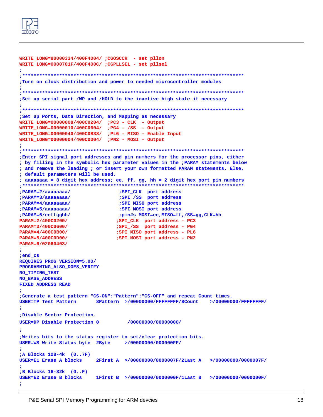

```
WRITE_LONG=80000334/400F4004/ ;CGOSCCR - set pllon
WRITE_LONG=0000701F/400F400C/ ;CGPLLSEL - set pllsel
\ddot{ }; Turn on clock distribution and power to needed microcontroller modules
;Set up serial part /WP and /HOLD to the inactive high state if necessary
;Set up Ports, Data Direction, and Mapping as necessary
WRITE_LONG=00000008/400C0204/ ; PC3 - CLK - Output
WRITE_LONG=00000010/400C0604/ ; PG4 - /SS - Output
\verb+WRTTE_LONG=00000040/400COB38/}pL6 - \verb+MISO - Enable InputWRITE_LONG=00000004/400C0D04/ ;PN2 - MOSI - Output
÷
Enter SPI signal port addresses and pin numbers for the processor pins, either
; by filling in the symbolic hex parameter values in the ; PARAM statements below
; and remove the leading ; or insert your own formatted PARAM statements. Else,
; default parameters will be used.
; aaaaaaaa = 8 digit hex address; ee, ff, gg, hh = 2 digit hex port pin numbers
,********************************
                                                   ********************
                              ;SPI_CLK port address
; PARAM=2/aaaaaaaa/
; PARAM=3/aaaaaaaa/
                              ;SPI_/SS port address
                              ;SPI_MISO port address
; PARAM=4/aaaaaaaa/
; PARAM=5/aaaaaaaa/
                              ;SPI_MOSI port address
; PARAM=6/eeffgghh/
                              ;pin#s MOSI=ee,MISO=ff,/SS=gg,CLK=hh
PARAM=2/400C0200/
                             ; SPI_CLK port address - PC3
PARAM=3/400C0600/
                             ;SPI_/SS port address - PG4
                             ; SPI_MISO port address - PL6
PARAM=4/400C0B00/
PARAM=5/400C0D00/
                             ;SPI_MOSI port address - PN2
PARAM=6/02060403/
; end_cs
REQUIRES_PROG_VERSION=5.00/
PROGRAMMING ALSO DOES VERIFY
NO_TIMING_TEST
NO_BASE_ADDRESS
FIXED_ADDRESS_READ
;Generate a test pattern "CS-ON": "Pattern": "CS-OFF" and repeat Count times.
USER=TP Test Pattern
                       8Pattern >/00000000/FFFFFFFFF/8Count >/00000000/FFFFFFFF/
:Disable Sector Protection.
USER=DP Disable Protection 0
                                 /00000000/00000000/
; Writes bits to the status register to set/clear protection bits.
USER=WS Write Status byte 2Byte >/00000000/000000FF/
÷
;A Blocks 128-4k (0..7F)
USER=E1 Erase A blocks
                       2First A >/00000000/0000007F/2Last A >/00000000/0000007F/
;B Blocks 16-32k (0..F)
                       1First B >/00000000/0000000F/1Last B >/00000000/0000000F/
USER=E2 Erase B blocks
÷
```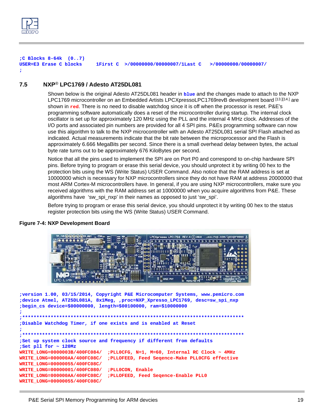

**;C Blocks 8-64k (0..7) USER=E3 Erase C blocks 1First C >/00000000/00000007/1Last C >/00000000/00000007/ ;**

## <span id="page-21-0"></span>**7.5 NXP**® **LPC1769 / Adesto AT25DL081**

Shown below is the original Adesto AT25DL081 header in **blue** and the changes made to attach to the NXP LPC1769 microcontroller on an Embedded Artists LPCXpressoLPC1769revB development board [\[13.\]](#page-34-14)[\[14.\]](#page-34-15) are shown in **red**. There is no need to disable watchdog since it is off when the processor is reset. P&E's programming software automatically does a reset of the microcontroller during startup. The internal clock oscillator is set up for approximately 120 MHz using the PLL and the internal 4 MHz clock. Addresses of the I/O ports and associated pin numbers are provided for all 4 SPI pins. P&Es programming software can now use this algorithm to talk to the NXP microcontroller with an Adesto AT25DL081 serial SPI Flash attached as indicated. Actual measurements indicate that the bit rate between the microprocessor and the Flash is approximately 6.666 MegaBits per second. Since there is a small overhead delay between bytes, the actual byte rate turns out to be approximately 676 KiloBytes per second.

Notice that all the pins used to implement the SPI are on Port P0 and correspond to on-chip hardware SPI pins. Before trying to program or erase this serial device, you should unprotect it by writing 00 hex to the protection bits using the WS (Write Status) USER Command. Also notice that the RAM address is set at 10000000 which is necessary for NXP microcontrollers since they do not have RAM at address 20000000 that most ARM Cortex-M microcontrollers have. In general, if you are using NXP microcontrollers, make sure you received algorithms with the RAM address set at 10000000 when you acquire algorithms from P&E. These algorithms have 'sw\_spi\_nxp' in their names as opposed to just 'sw\_spi'.

Before trying to program or erase this serial device, you should unprotect it by writing 00 hex to the status register protection bits using the WS (Write Status) USER Command.



## **Figure 7-4: NXP Development Board**

```
;version 1.00, 03/15/2014, Copyright P&E Microcomputer Systems, www.pemicro.com 
;device Atmel, AT25DL081A, 8x1Meg, ,proc=NXP_Xpresso_LPC1769, desc=sw_spi_nxp
;begin_cs device=$00000000, length=$00100000, ram=$10000000
;
    ;******************************************************************************
;Disable Watchdog Timer, if one exists and is enabled at Reset
;
;******************************************************************************
;Set up system clock source and frequency if different from defaults
;Set pll for ~ 120Mz
WRITE_LONG=0000003B/400FC084/ ;PLL0CFG, N=1, M=60, Internal RC Clock ~ 4MHz
WRITE_LONG=000000AA/400FC08C/ ;PLLOFEED, Feed Seqence-Make PLL0CFG effective
WRITE_LONG=00000055/400FC08C/ 
WRITE_LONG=00000001/400FC080/ ;PLL0CON, Enable
WRITE_LONG=000000AA/400FC08C/ ;PLLOFEED, Feed Seqence-Enable PLL0
WRITE_LONG=00000055/400FC08C/
```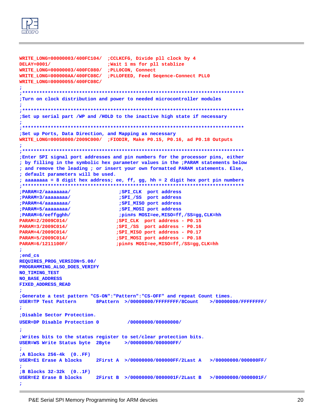

```
wRITE_LONG=00000003/400FC104/ ;CCLKCFG, Divide pll clock by 4
DELAY=0001/
                           ; Wait 1 ms for pll stablize
WRITE_LONG=00000003/400FC080/ ;PLL0CON, Connect
WRITE_LONG=000000AA/400FC08C/ ; PLLOFEED, Feed Seqence-Connect PLL0
WRITE_LONG=00000055/400FC08C/
; Turn on clock distribution and power to needed microcontroller modules
;Set up serial part /WP and /HOLD to the inactive high state if necessary
;Set up Ports, Data Direction, and Mapping as necessary
WRITE_LONG=00058000/2009C000/ ;FIODIR, Make P0.15, P0.16, ad P0.18 Outputs
\ddot{ }Enter SPI signal port addresses and pin numbers for the processor pins, either
; by filling in the symbolic hex parameter values in the ; PARAM statements below
; and remove the leading ; or insert your own formatted PARAM statements. Else,
; default parameters will be used.
; aaaaaaaa = 8 digit hex address; ee, ff, gg, hh = 2 digit hex port pin numbers
,********************************
                                                   ********************
                              ; SPI_CLK port address
; PARAM=2/aaaaaaaa/
; PARAM=3/aaaaaaaa/
                              ;SPI_/SS port address
                              ;SPI_MISO port address
; PARAM=4/aaaaaaaa/
                              ;SPI_MOSI port address
; PARAM=5/aaaaaaaa/
; PARAM=6/eeffgghh/
                              ;pin#s MOSI=ee,MISO=ff,/SS=gg,CLK=hh
PARAM=2/2009C014/
                             ; SPI_CLK port address - P0.15
PARAM=3/2009C014/
                             ;SPI_/SS port address - P0.16
PARAM=4/2009C014/
                             ;SPI_MISO_port_address - P0.17
PARAM=5/2009C014/
                             ;SPI_MOSI port address - P0.18
PARAM=6/1211100F/
                             ;pin#s MOSI=ee,MISO=ff,/SS=gg,CLK=hh
; end_cs
REQUIRES_PROG_VERSION=5.00/
PROGRAMMING ALSO DOES VERIFY
NO_TIMING_TEST
NO_BASE_ADDRESS
FIXED_ADDRESS_READ
;Generate a test pattern "CS-ON": "Pattern": "CS-OFF" and repeat Count times.
USER=TP Test Pattern
                       8Pattern >/00000000/FFFFFFFFF/8Count >/00000000/FFFFFFFF/
:Disable Sector Protection.
USER=DP Disable Protection 0
                                 /00000000/00000000/
; Writes bits to the status register to set/clear protection bits.
USER=WS Write Status byte 2Byte >/00000000/000000FF/
÷
;A Blocks 256-4k (0..FF)
USER=E1 Erase A blocks
                       2First A >/00000000/000000FF/2Last A >/00000000/000000FF/
;B Blocks 32-32k (0..1F)
                       2First B >/00000000/0000001F/2Last B >/00000000/0000001F/
USER=E2 Erase B blocks
÷
```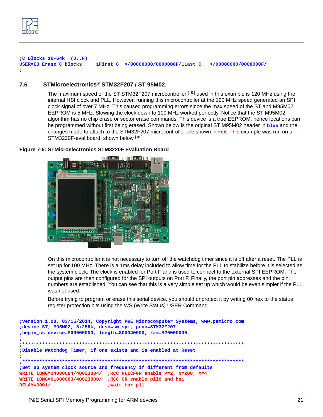

**;C Blocks 16-64k (0..F) USER=E3 Erase C blocks 1First C >/00000000/0000000F/1Last C >/00000000/0000000F/ ;**

## <span id="page-23-0"></span>**7.6 STMicroelectronics**® **STM32F207 / ST 95M02.**

The maximum speed of the ST STM32F207 microcontroller [\[15.\]](#page-34-16) used in this example is 120 MHz using the internal HSI clock and PLL. However, running this microcontroller at the 120 MHz speed generated an SPI clock signal of over 7 MHz. This caused programming errors since the max speed of the ST and M95M02 EEPROM is 5 MHz. Slowing the clock down to 100 MHz worked perfectly. Notice that the ST M95M02 algorithm has no chip erase or sector erase commands. This device is a true EEPROM, hence locations can be programmed without first being erased. Shown below is the original ST M95M02 header in **blue** and the changes made to attach to the STM32F207 microcontroller are shown in **red**. This example was run on a STM3220F-eval board, shown below [\[16.\].](#page-34-17)



### **Figure 7-5: STMicroelectronics STM3220F Evaluation Board**

On this microcontroller it is not necessary to turn off the watchdog timer since it is off after a reset. The PLL is set up for 100 MHz. There is a 1ms delay included to allow time for the PLL to stabilize before it is selected as the system clock. The clock is enabled for Port F and is used to connect to the external SPI EEPROM. The output pins are then configured for the SPI outputs on Port F. Finally, the port pin addresses and the pin numbers are established. You can see that this is a very simple set up which would be even simpler if the PLL was not used.

Before trying to program or erase this serial device, you should unprotect it by writing 00 hex to the status register protection bits using the WS (Write Status) USER Command.

```
;version 1.00, 03/15/2014, Copyright P&E Microcomputer Systems, www.pemicro.com
;device ST, M95M02, 8x256k, desc=sw_spi, proc=STM32F207
;begin_cs device=$00000000, length=$00040000, ram=$20000000
;
;******************************************************************************
;Disable Watchdog Timer, if one exists and is enabled at Reset
;
;******************************************************************************
;Set up system clock source and frequency if different from defaults
WRITE_LONG=24000C84/40023804/ ;RCC_PLLCFGR enable P=2, N=200, M=4
WRITE_LONG=01000083/40023800/ ;RCC_CR enable pll0 and hsi
DELAY=0001/ ;wait for pll
```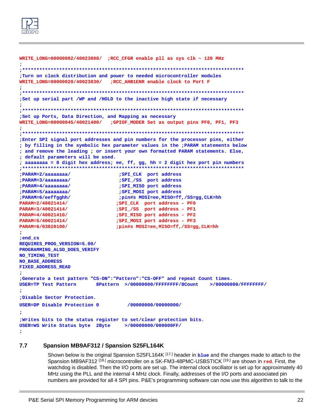

```
WRITE_LONG=00000002/40023808/ ;RCC_CFGR enable pll as sys clk ~ 120 MHz
; Turn on clock distribution and power to needed microcontroller modules
WRITE_LONG=00000020/40023830/ ;RCC_AHB1ENR enable clock to Port F
÷
;Set up serial part /WP and /HOLD to the inactive high state if necessary
; Set up Ports, Data Direction, and Mapping as necessary
WRITE_LONG=00000045/40021400/
                          ;GPIOF_MODER Set as output pins PF0, PF1, PF3
Enter SPI signal port addresses and pin numbers for the processor pins, either
; by filling in the symbolic hex parameter values in the ; PARAM statements below
; and remove the leading ; or insert your own formatted PARAM statements. Else,
; default parameters will be used.
; aaaaaaaa = 8 digit hex address; ee, ff, gg, hh = 2 digit hex port pin numbers
,**********************************
                                    **************************************
                              ;SPI_CLK port address
; PARAM=2/aaaaaaaa/
                              ;SPI_/SS port address
; PARAM=3/aaaaaaaa/
                             ; SPI_MISO port address
; PARAM=4/aaaaaaaa/
                             ; SPI_MOSI port address
; PARAM=5/aaaaaaaa/
                             ; pin#s MOSI=ee, MISO=ff, /SS=gg, CLK=hh
; PARAM=6/eeffgghh/
                            ; SPI_CLK port address - PF0
PARAM=2/40021414/
PARAM=3/40021414/
                            ;SPI_/SS port address - PF1
PARAM=4/40021410/
                            ; SPI_MISO port address - PF2
PARAM=5/40021414/
                            ; SPI_MOSI port address - PF3
PARAM=6/03020100/
                            ; pin#s MOSI=ee, MISO=ff, /SS=gg, CLK=hh
; end_cs
REQUIRES_PROG_VERSION=5.00/
PROGRAMMING_ALSO_DOES_VERIFY
NO_TIMING_TEST
NO_BASE_ADDRESS
FIXED ADDRESS READ
;Generate a test pattern "CS-ON": "Pattern": "CS-OFF" and repeat Count times.
                      8Pattern >/00000000/FFFFFFFFF/8Count >/00000000/FFFFFFFF/
USER=TP Test Pattern
÷
;Disable Sector Protection.
USER=DP Disable Protection 0
                                /00000000/00000000/
÷
; Writes bits to the status register to set/clear protection bits.
USER=WS Write Status byte 2Byte
                              >/00000000/000000FF/
\ddot{ }
```
#### <span id="page-24-0"></span> $7.7$ Spansion MB9AF312 / Spansion S25FL164K

Shown below is the original Spansion S25FL164K [17.] header in **blue** and the changes made to attach to the Spansion MB9AF312 [18.] microcontroller on a SK-FM3-48PMC-USBSTICK [19.] are shown in red. First, the watchdog is disabled. Then the I/O ports are set up. The internal clock oscillator is set up for approximately 40 MHz using the PLL and the internal 4 MHz clock. Finally, addresses of the I/O ports and associated pin numbers are provided for all 4 SPI pins. P&E's programming software can now use this algorithm to talk to the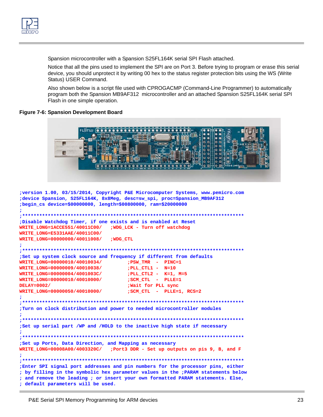

Spansion microcontroller with a Spansion S25FL164K serial SPI Flash attached.

Notice that all the pins used to implement the SPI are on Port 3. Before trying to program or erase this serial device, you should unprotect it by writing 00 hex to the status register protection bits using the WS (Write Status) USER Command.

Also shown below is a script file used with CPROGACMP (Command-Line Programmer) to automatically program both the Spansion MB9AF312 microcontroller and an attached Spansion S25FL164K serial SPI Flash in one simple operation.

### **Figure 7-6: Spansion Development Board**



```
;version 1.00, 03/15/2014, Copyright P&E Microcomputer Systems, www.pemicro.com
;device Spansion, S25FL164K, 8x8Meg, desc=sw_spi, proc=Spansion_MB9AF312
;begin_cs device=$00000000, length=$00800000, ram=$20000000
;Disable Watchdog Timer, if one exists and is enabled at Reset
WRITE LONG=1ACCE551/40011C00/
                       ; WDG LCK - Turn off watchdog
WRITE_LONG=E5331AAE/40011C00/
WRITE LONG=00000000/40011008/
                       ; WDG CTL
;Set up system clock source and frequency if different from defaults
WRITE LONG=00000010/40010034/
                           ;PSW_TMR - PINC=1
WRITE_LONG=00000009/40010038/
                           ; PLL_CTL1 - N=10
WRITE LONG=00000004/4001003C/
                           ; PLL CTL2 - K=1, M=5
WRITE LONG=00000010/40010000/
                            ; SCM CTL - PLLE=1
DELAY=0002/
                            ; Wait for PLL sync
                            ; SCM_CTL - PLLE=1, RCS=2
WRITE LONG=00000050/40010000/
; Turn on clock distribution and power to needed microcontroller modules
÷
;Set up serial part /WP and /HOLD to the inactive high state if necessary
\ddot{\phantom{0}};Set up Ports, Data Direction, and Mapping as necessary
WRITE_LONG=00008A00/4003320C/ ;Port3 DDR - Set up outputs on pis 9, B, and F
; Enter SPI signal port addresses and pin numbers for the processor pins, either
; by filling in the symbolic hex parameter values in the ; PARAM statements below
; and remove the leading ; or insert your own formatted PARAM statements. Else,
; default parameters will be used.
```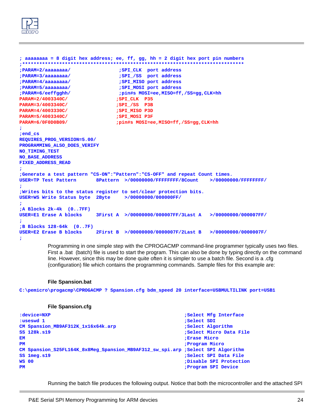

```
; aaaaaaaa = 8 digit hex address; ee, ff, gg, hh = 2 digit hex port pin numbers 
;******************************************************************************
;PARAM=2/aaaaaaaa/ ;SPI_CLK port address 
;PARAM=3/aaaaaaaa/ ;SPI_/SS port address 
;PARAM=4/aaaaaaaa/ ;SPI_MISO port address 
;PARAM=5/aaaaaaaa/ ;SPI_MOSI port address
;PARAM=6/eeffgghh/ ;pin#s MOSI=ee,MISO=ff,/SS=gg,CLK=hh 
PARAM=2/4003340C/ ;SPI_CLK P35 
PARAM=3/4003340C/ ;SPI_/SS P3B
PARAM=4/4003330C/ ;SPI_MISO P3D
PARAM=5/4003340C/ ;SPI_MOSI P3F
PARAM=6/0F0D0B09/ ;pin#s MOSI=ee,MISO=ff,/SS=gg,CLK=hh 
;
;end_cs
REQUIRES_PROG_VERSION=5.00/
PROGRAMMING_ALSO_DOES_VERIFY
NO_TIMING_TEST
NO_BASE_ADDRESS
FIXED_ADDRESS_READ
;
;Generate a test pattern "CS-ON":"Pattern":"CS-OFF" and repeat Count times.
USER=TP Test Pattern 8Pattern >/00000000/FFFFFFFF/8Count >/00000000/FFFFFFFF/
;
;Writes bits to the status register to set/clear protection bits.
USER=WS Write Status byte 2Byte >/00000000/000000FF/
;
;A Blocks 2k-4k (0..7FF)
USER=E1 Erase A blocks 3First A >/00000000/000007FF/3Last A >/00000000/000007FF/
;
;B Blocks 128-64k (0..7F)
USER=E2 Erase B blocks 2First B >/00000000/0000007F/2Last B >/00000000/0000007F/
```
**;**

Programming in one simple step with the CPROGACMP command-line programmer typically uses two files. First a .bat (batch) file is used to start the program. This can also be done by typing directly on the command line. However, since this may be done quite often it is simpler to use a batch file. Second is a .cfg (configuration) file which contains the programming commands. Sample files for this example are:

### **File Spansion.bat**

**C:\pemicro\progacmp\CPROGACMP ? Spansion.cfg bdm\_speed 20 interface=USBMULTILINK port=USB1** 

### **File Spansion.cfg**

```
:device=NXP ;Select Mfg Interface
:useswd 1 s
CM Spansion_MB9AF312K_1x16x64k.arp (CM Spansion_MB9AF312K_1x16x64k.arp (Select Algorithm
SS 128k.s19 128k.s19 128k.s19 128k.s19
EM ;Erase Micro
PM PM PM PM PM PM PM PM
CM Spansion_S25FL164K_8x8Meg_Spansion_MB9AF312_sw_spi.arp ;Select SPI Algorithm
SS 1meg.s19 ;Select SPI Data File 
WS 00 with the contract of the contract of the contract of the contract of the contract of the contract of the contract of the contract of the contract of the contract of the contract of the contract of the contract of 
PM PM PM PM PM PM PM PM PM PM PM PM PM PM PM PM PM PM PM PM PM PM PM PM PM PM PM PM PM PM PM PM
```
Running the batch file produces the following output. Notice that both the microcontroller and the attached SPI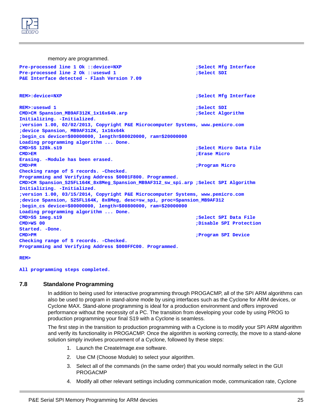

memory are programmed. **Pre-processed line 1 Ok ::device=NXP ;Select Mfg Interface** Pre-processed line 2 Ok ::useswd 1 **1 is a select SDI** ;Select SDI **P&E Interface detected - Flash Version 7.09 REM>:device=NXP ;Select Mfg Interface REM>:useswd 1 ight** is a set of the set of the set of the set of the set of the set of the set of the set of the set of the set of the set of the set of the set of the set of the set of the set of the set of the set of CMD>CM Spansion\_MB9AF312K\_1x16x64k.arp **;Select Algorithm Initializing. -Initialized. ;version 1.00, 02/02/2013, Copyright P&E Microcomputer Systems, www.pemicro.com ;device Spansion, MB9AF312K, 1x16x64k ;begin\_cs device=\$00000000, length=\$00020000, ram=\$20000000 Loading programming algorithm ... Done. CMD>SS** 128k.s19 **328k.s19 328k.s19 328k.s19 328k.s19 CMD>EM ;Erase Micro Erasing. -Module has been erased. CMD>PM ;Program Micro Checking range of S records. -Checked. Programming and Verifying Address \$0001F800. Programmed. CMD>CM Spansion\_S25FL164K\_8x8Meg\_Spansion\_MB9AF312\_sw\_spi.arp ;Select SPI Algorithm Initializing. -Initialized. ;version 1.00, 03/15/2014, Copyright P&E Microcomputer Systems, www.pemicro.com ;device Spansion, S25FL164K, 8x8Meg, desc=sw\_spi, proc=Spansion\_MB9AF312 ;begin\_cs device=\$00000000, length=\$00800000, ram=\$20000000 Loading programming algorithm ... Done. CMD>SS 1meg.s19 ;Select SPI Data File CMD>WS 00 ;Disable SPI Protection Started. -Done. CMD>PM ;Program SPI Device Checking range of S records. -Checked. Programming and Verifying Address \$000FFC00. Programmed.**

### **REM>**

### **All programming steps completed.**

### <span id="page-27-0"></span>**7.8 Standalone Programming**

In addition to being used for interactive programming through PROGACMP, all of the SPI ARM algorithms can also be used to program in stand-alone mode by using interfaces such as the Cyclone for ARM devices, or Cyclone MAX. Stand-alone programming is ideal for a production environment and offers improved performance without the necessity of a PC. The transition from developing your code by using PROG to production programming your final S19 with a Cyclone is seamless.

The first step in the transition to production programming with a Cyclone is to modify your SPI ARM algorithm and verify its functionality in PROGACMP. Once the algorithm is working correctly, the move to a stand-alone solution simply involves procurement of a Cyclone, followed by these steps:

- 1. Launch the CreateImage.exe software.
- 2. Use CM (Choose Module) to select your algorithm.
- 3. Select all of the commands (in the same order) that you would normally select in the GUI PROGACMP
- 4. Modify all other relevant settings including communication mode, communication rate, Cyclone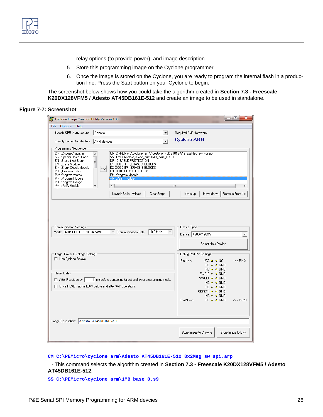relay options (to provide power), and image description

- 5. Store this programming image on the Cyclone programmer.
- 6. Once the image is stored on the Cyclone, you are ready to program the internal flash in a production line. Press the Start button on your Cyclone to begin.

The screenshot below shows how you could take the algorithm created in **[Section 7.3 - Freescale](#page-17-0)  [K20DX128VFM5 / Adesto AT45DB161E-512](#page-17-0)** and create an image to be used in standalone.

### **Figure 7-7: Screenshot**

| $\Box$<br>$\mathbf{x}$<br>Cyclone Image Creation Utility Version 1.33<br>-                                                                                                                                                         |                                                            |                                                                                                                                                                                     |                                                                                                                                                                            |              |                                                                 |                  |  |  |  |  |
|------------------------------------------------------------------------------------------------------------------------------------------------------------------------------------------------------------------------------------|------------------------------------------------------------|-------------------------------------------------------------------------------------------------------------------------------------------------------------------------------------|----------------------------------------------------------------------------------------------------------------------------------------------------------------------------|--------------|-----------------------------------------------------------------|------------------|--|--|--|--|
| File Options Help                                                                                                                                                                                                                  |                                                            |                                                                                                                                                                                     |                                                                                                                                                                            |              |                                                                 |                  |  |  |  |  |
| Specify CPU Manufacturer:                                                                                                                                                                                                          |                                                            | ▾                                                                                                                                                                                   | Required P&E Hardware:                                                                                                                                                     |              |                                                                 |                  |  |  |  |  |
| Specify Target Architecture:                                                                                                                                                                                                       | $\overline{\phantom{a}}$<br>ARM devices                    |                                                                                                                                                                                     |                                                                                                                                                                            |              | <b>Cyclone ARM</b>                                              |                  |  |  |  |  |
| Programming Sequence                                                                                                                                                                                                               |                                                            |                                                                                                                                                                                     |                                                                                                                                                                            |              |                                                                 |                  |  |  |  |  |
| CM : Choose Algorithm<br>SS ;Specify Object Code<br>EN ;Erase if not Blank<br>EM : Erase Module<br>BM :Blank Check Module<br>PB :Program Bytes<br>PW ;Program Words<br>PM :Program Module<br>PR: Program Range<br>VM Nerify Module | A.<br>$\equiv$<br>$\Rightarrow$<br>VM.<br>∢                | DP: :DISABLE PROTECTION<br>E1 0000 OFFF ;ERASE A BLOCKS<br>E2 0000 01FF : ERASE B BLOCKS<br>E3 00 10 ;ERASE C BLOCKS<br>PM :Program Module<br>Nerifu Module<br>Launch Script Wizard | CM C:\PEMicro\cyclone_arm\Adesto_AT45DB161E-512_8x2Meg_sw_spi.arp<br>SS C:\PEMicro\cyclone arm\1MB base 0.s19<br>Clear Script                                              | Ш<br>Move up | Move down                                                       | Remove From List |  |  |  |  |
| <b>Communication Settings</b><br>Mode: ARM CORTEX 20 PIN SWD<br>Target Power & Voltage Settings<br>Use Cyclone Relays                                                                                                              | Communication Rate:   10.0 MHz<br>$\overline{\phantom{a}}$ | Device Type<br>$Pin 1 ==$                                                                                                                                                           | Device: K20DX128M5<br>▼<br>Select New Device<br>Debug Port Pin Settings<br>$VCC = 0 NC$<br>$\leq$ == Pin 2<br>$NC \circ \circ GND$                                         |              |                                                                 |                  |  |  |  |  |
| Reset Delay<br>$\Box$ After Reset, delay<br>□ Drive RESET signal LOW before and after SAP operations.                                                                                                                              | 0 ms before contacting target and enter programming mode.  |                                                                                                                                                                                     | $NC \circ \circ GND$<br>SWDIO $\circ$ $\circ$ GND<br>SWCLK o o GND<br>$NC \Leftrightarrow \Leftrightarrow GND$<br>$NC \diamond \diamond GND$<br>RESET# $\circ$ $\circ$ GND |              |                                                                 |                  |  |  |  |  |
|                                                                                                                                                                                                                                    |                                                            |                                                                                                                                                                                     |                                                                                                                                                                            | $Pin19 ==$   | $NC \Leftrightarrow \Leftrightarrow GND$<br>$NC \diamond 6$ GND | $\leq$ == Pin20  |  |  |  |  |
| Image Description: Adesto AT45DB161E-512                                                                                                                                                                                           |                                                            |                                                                                                                                                                                     |                                                                                                                                                                            |              |                                                                 |                  |  |  |  |  |
|                                                                                                                                                                                                                                    |                                                            | Store Image to Cyclone<br>Store Image to Disk                                                                                                                                       |                                                                                                                                                                            |              |                                                                 |                  |  |  |  |  |

**CM C:\PEMicro\cyclone\_arm\Adesto\_AT45DB161E-512\_8x2Meg\_sw\_spi.arp**

- This command selects the algorithm created in **[Section 7.3 - Freescale K20DX128VFM5 / Adesto](#page-17-0)  [AT45DB161E-512](#page-17-0)**.

**SS C:\PEMicro\cyclone\_arm\1MB\_base\_0.s9**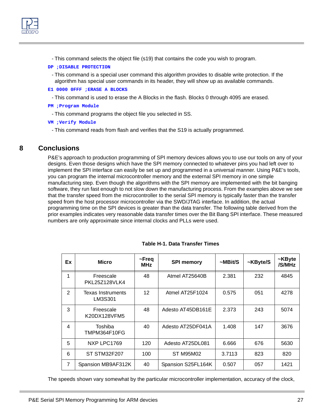

- This command selects the object file (s19) that contains the code you wish to program.

### **DP ;DISABLE PROTECTION**

- This command is a special user command this algorithm provides to disable write protection. If the algorithm has special user commands in its header, they will show up as available commands.
- **E1 0000 0FFF ;ERASE A BLOCKS**
- This command is used to erase the A Blocks in the flash. Blocks 0 through 4095 are erased.
- **PM ;Program Module**
- This command programs the object file you selected in SS.
- **VM ;Verify Module**
	- This command reads from flash and verifies that the S19 is actually programmed.

## <span id="page-29-0"></span>**8 Conclusions**

P&E's approach to production programming of SPI memory devices allows you to use our tools on any of your designs. Even those designs which have the SPI memory connected to whatever pins you had left over to implement the SPI interface can easily be set up and programmed in a universal manner. Using P&E's tools, you can program the internal microcontroller memory and the external SPI memory in one simple manufacturing step. Even though the algorithms with the SPI memory are implemented with the bit banging software, they run fast enough to not slow down the manufacturing process. From the examples above we see that the transfer speed from the microcontroller to the serial SPI memory is typically faster than the transfer speed from the host processor microcontroller via the SWD/JTAG interface. In addition, the actual programming time on the SPI devices is greater than the data transfer. The following table derived from the prior examples indicates very reasonable data transfer times over the Bit Bang SPI interface. These measured numbers are only approximate since internal clocks and PLLs were used.

| Ex                      | <b>Micro</b>                      | ~Freq<br><b>MHz</b> | <b>SPI memory</b>  | $~\sim$ MBit/S | ~KByte/S | ~KByte<br>/S/MHz |
|-------------------------|-----------------------------------|---------------------|--------------------|----------------|----------|------------------|
| 1                       | Freescale<br><b>PKL25Z128VLK4</b> | 48                  | Atmel AT25640B     | 2.381          | 232      | 4845             |
| 2                       | Texas Instruments<br>LM3S301      | 12                  | Atmel AT25F1024    | 0.575          | 051      | 4278             |
| 3                       | Freescale<br>K20DX128VFM5         | 48                  | Adesto AT45DB161E  | 2.373          | 243      | 5074             |
| $\overline{\mathbf{4}}$ | Toshiba<br>TMPM364F10FG           | 40                  | Adesto AT25DF041A  | 1.408          | 147      | 3676             |
| 5                       | NXP LPC1769                       | 120                 | Adesto AT25DL081   | 6.666          | 676      | 5630             |
| 6                       | ST STM32F207                      | 100                 | <b>ST M95M02</b>   | 3.7113         | 823      | 820              |
| $\overline{7}$          | Spansion MB9AF312K                | 40                  | Spansion S25FL164K | 0.507          | 057      | 1421             |

**Table H-1. Data Transfer Times**

The speeds shown vary somewhat by the particular microcontroller implementation, accuracy of the clock,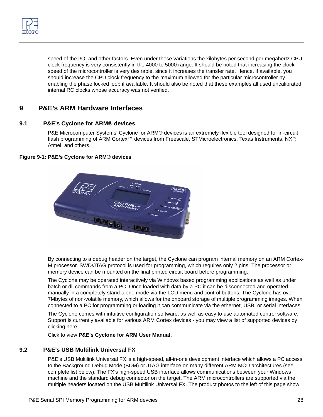

speed of the I/O, and other factors. Even under these variations the kilobytes per second per megahertz CPU clock frequency is very consistently in the 4000 to 5000 range. It should be noted that increasing the clock speed of the microcontroller is very desirable, since it increases the transfer rate. Hence, if available, you should increase the CPU clock frequency to the maximum allowed for the particular microcontroller by enabling the phase locked loop if available. It should also be noted that these examples all used uncalibrated internal RC clocks whose accuracy was not verified.

# <span id="page-30-0"></span>**9 P&E's ARM Hardware Interfaces**

## <span id="page-30-1"></span>**9.1 P&E's Cyclone for ARM® devices**

[P&E Microcomputer Systems' Cyclone for ARM® devices is an extremely flexible tool designed for in-circuit](http://www.pemicro.com/products/product_view.cfm?product_ID=15320155)  flash programming of ARM Cortex™ devices from Freescale, STMicroelectronics, Texas Instruments, NXP, Atmel, and others.

## **Figure 9-1: P&E's Cyclone for ARM® devices**



By connecting to a debug header on the target, the Cyclone can program internal memory on an ARM Cortex-M processor. SWD/JTAG protocol is used for programming, which requires only 2 pins. The processor or memory device can be mounted on the final printed circuit board before programming.

The Cyclone may be operated interactively via Windows based programming applications as well as under batch or dll commands from a PC. Once loaded with data by a PC it can be disconnected and operated manually in a completely stand-alone mode via the LCD menu and control buttons. The Cyclone has over 7Mbytes of non-volatile memory, which allows for the onboard storage of multiple programming images. When connected to a PC for programming or loading it can communicate via the ethernet, USB, or serial interfaces.

[The Cyclone comes with intuitive configuration software, as well as easy to use automated control software.](http://www.pemicro.com/support/flash_list_menu.cfm)  Support is currently available for various ARM Cortex devices - you may view a list of supported devices by clicking here.

[Click to view](http://www.pemicro.com/downloads/download_file.cfm?download_id=388) **P&E's Cyclone for ARM User Manual.**

## <span id="page-30-2"></span>**9.2 P&E's USB Multilink Universal FX**

[P&E's USB Multilink Universal FX is a high-speed, all-in-one development interface which allows a PC access](http://www.pemicro.com/products/product_viewDetails.cfm?product_id=15320143)  to the Background Debug Mode (BDM) or JTAG interface on many different ARM MCU architectures (see complete list below). The FX's high-speed USB interface allows communications between your Windows [machine and the standard debug connector on the target. The ARM microcontrollers are supported via the](http://www.pemicro.com/products/product_viewDetails.cfm?product_id=15320143)  [multiple headers located on the USB Multilink Universal FX. The product photos to the left of this page show](http://www.pemicro.com/products/product_viewDetails.cfm?product_id=15320143)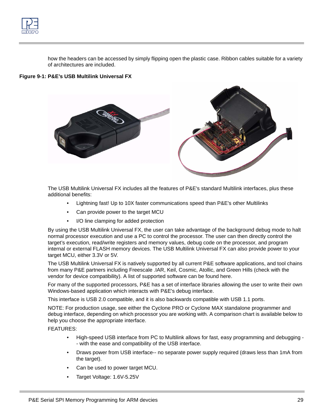

[how the headers can be accessed by simply flipping open the plastic case. Ribbon cables suitable for a variety](http://www.pemicro.com/products/product_viewDetails.cfm?product_id=15320143)  of architectures are included.

### **Figure 9-1: P&E's USB Multilink Universal FX**



[The USB Multilink Universal FX includes all the features of P&E's standard Multilink interfaces, plus these](http://www.pemicro.com/products/product_viewDetails.cfm?product_id=15320143)  additional benefits:

- Lightning fast! Up to 10X faster communications speed than P&E's other Multilinks
- Can provide power to the target MCU
- I/O line clamping for added protection

[By using the USB Multilink Universal FX, the user can take advantage of the background debug mode to halt](http://www.pemicro.com/products/product_viewDetails.cfm?product_id=15320143)  normal processor execution and use a PC to control the processor. The user can then directly control the target's execution, read/write registers and memory values, debug code on the processor, and program internal or external FLASH memory devices. The USB Multilink Universal FX can also provide power to your target MCU, either 3.3V or 5V.

[The USB Multilink Universal FX is natively supported by all current P&E software applications, and tool chains](http://www.pemicro.com/products/product_viewDetails.cfm?product_id=15320143)  from many P&E partners including Freescale .IAR, Keil, Cosmic, Atollic, and Green Hills (check with the vendor for device compatibility). A list of supported software can be found here.

For many of the supported processors, P&E has a set of interface libraries allowing the user to write their own Windows-based application which interacts with P&E's debug interface.

This interface is USB 2.0 compatible, and it is also backwards compatible with USB 1.1 ports.

[NOTE: For production usage, see either the Cyclone PRO or](http://www.pemicro.com/products/product_viewDetails.cfm?product_id=1) [Cyclone MAX standalone programmer and](http://www.pemicro.com/products/product_viewDetails.cfm?product_id=145)  [debug interface, depending on which processor you are working with. A comparison chart is available below to](http://www.pemicro.com/products/product_viewDetails.cfm?product_id=145)  help you choose the appropriate interface.

FEATURES:

- High-speed USB interface from PC to Multilink allows for fast, easy programming and debugging - with the ease and compatibility of the USB interface.
- Draws power from USB interface-- no separate power supply required (draws less than 1mA from the target).
- Can be used to power target MCU.
- Target Voltage: 1.6V-5.25V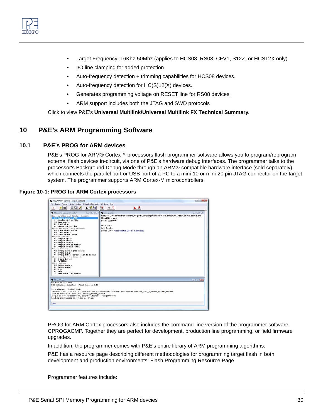

- Target Frequency: 16Khz-50Mhz (applies to HCS08, RS08, CFV1, S12Z, or HCS12X only)
- I/O line clamping for added protection
- Auto-frequency detection + trimming capabilities for HCS08 devices.
- Auto-frequency detection for HC(S)12(X) devices.
- Generates programming voltage on RESET line for RS08 devices.
- ARM support includes both the JTAG and SWD protocols

Click to view P&E's **[Universal Multilink/Universal Multilink FX Technical Summary](http://www.pemicro.com/downloads/download_file.cfm?download_id=376)**.

# <span id="page-32-0"></span>**10 P&E's ARM Programming Software**

## <span id="page-32-1"></span>**10.1 P&E's PROG for ARM devices**

P&E's PROG for ARM® Cortex<sup>™</sup> processors flash programmer software allows you to program/reprogram external flash devices in-circuit, via one of P&E's hardware debug interfaces. The programmer talks to the processor's Background Debug Mode through an ARM®-compatible hardware interface (sold separately), [which connects the parallel port or USB port of a PC to a mini-10 or mini-20 pin JTAG connector on the target](http://www.pemicro.com/products/product_view.cfm?product_ID=15320138)  system. The programmer supports ARM Cortex-M microcontrollers.

## **Figure 10-1: PROG for ARM Cortex processors**



[PROG for ARM Cortex processors also includes the command-line version of the programmer software.](http://www.pemicro.com/products/product_view.cfm?product_ID=15320138)  [CPROGACMP. Together they are perfect for development, production line programming, or field firmware](http://www.pemicro.com/products/product_view.cfm?product_ID=15320138)  upgrades.

In addition, the programmer comes with P&E's entire library of ARM programming algorithms.

P&E has a resource page describing different methodologies for programming target flash in both development and production environments: Flash Programming Resource Page

Programmer features include: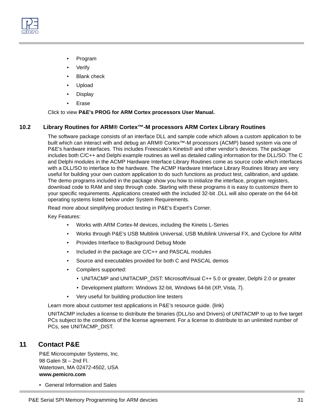

- Program
- **Verify**
- **Blank check**
- Upload
- Display
- Erase

Click to view **[P&E's PROG for ARM Cortex processors User Manual.](http://www.pemicro.com/downloads/download_file.cfm?download_id=342)**

## <span id="page-33-0"></span>**10.2 Library Routines for ARM® Cortex™-M processors ARM Cortex Library Routines**

The software package consists of an interface DLL and sample code which allows a custom application to be built which can interact with and debug an ARM® Cortex™-M processors (ACMP) based system via one of P&E's hardware interfaces. This includes Freescale's Kinetis® and other vendor's devices. The package includes both C/C++ and Delphi example routines as well as detailed calling information for the DLL/SO. The C and Delphi modules in the ACMP Hardware Interface Library Routines come as source code which interfaces with a DLL/SO to interface to the hardware. The ACMP Hardware Interface Library Routines library are very useful for building your own custom application to do such functions as product test, calibration, and update. The demo programs included in the package show you how to initialize the interface, program registers, download code to RAM and step through code. Starting with these programs it is easy to customize them to your specific requirements. Applications created with the included 32-bit .DLL will also operate on the 64-bit operating systems listed below under System Requirements.

[Read more about simplifying product testing in P&E's Expert's Corner.](http://www.pemicro.com/newsletter/experts_corner/2005_11/index.cfm)

Key Features:

- Works with ARM Cortex-M devices, including the Kinetis L-Series
- Works through P&E's USB Multilink Universal, USB Multilink Universal FX, and Cyclone for ARM
- Provides Interface to Background Debug Mode
- Included in the package are C/C++ and PASCAL modules
- Source and executables provided for both C and PASCAL demos
- Compilers supported:
	- UNITACMP and UNITACMP\_DIST: MicrosoftVisual C++ 5.0 or greater, Delphi 2.0 or greater
	- Development platform: Windows 32-bit, Windows 64-bit (XP, Vista, 7).
- Very useful for building production line testers

Learn more about customer test applications in P&E's resource guide. (link)

[UNITACMP includes a license to distribute the binaries \(DLL/so and Drivers\) of UNITACMP to up to five target](http://www.pemicro.com/products/product_view.cfm?product_ID=15320148)  [PCs subject to the conditions of the license agreement. For a license to distribute to an unlimited number of](http://www.pemicro.com/products/product_view.cfm?product_ID=15320148)  [PCs, see UNITACMP\\_DIST.](http://www.pemicro.com/products/product_view.cfm?product_ID=15320148)

# <span id="page-33-1"></span>**11 Contact P&E**

P&E Microcomputer Systems, Inc. 98 Galen St – 2nd Fl. Watertown, MA 02472-4502, USA **www.pemicro.com**

• [General Information and Sales](http://www.pemicro.com/contact_us/index.cfm)